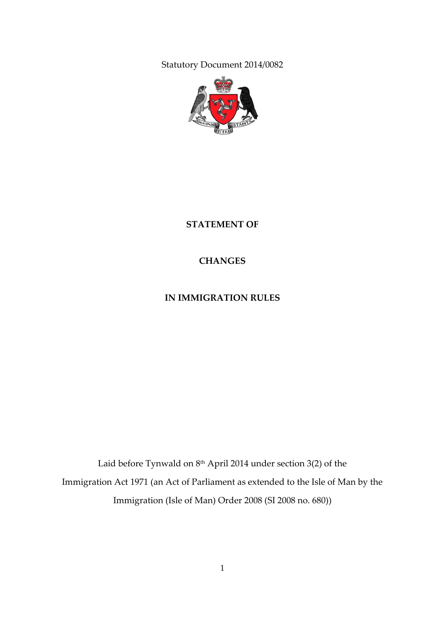Statutory Document 2014/0082



**STATEMENT OF**

**CHANGES**

**IN IMMIGRATION RULES**

Laid before Tynwald on 8<sup>th</sup> April 2014 under section 3(2) of the Immigration Act 1971 (an Act of Parliament as extended to the Isle of Man by the Immigration (Isle of Man) Order 2008 (SI 2008 no. 680))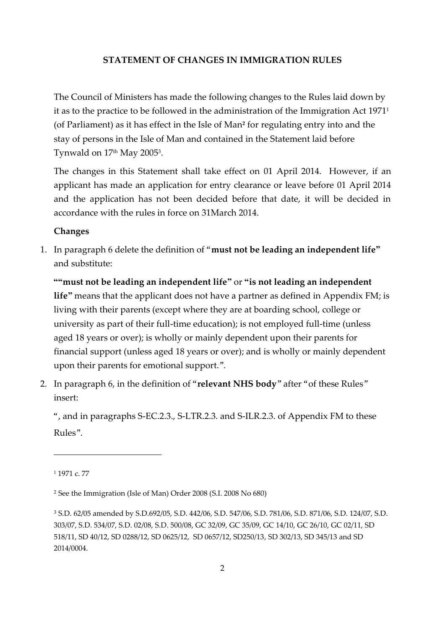#### **STATEMENT OF CHANGES IN IMMIGRATION RULES**

The Council of Ministers has made the following changes to the Rules laid down by it as to the practice to be followed in the administration of the Immigration Act 1971<sup>1</sup> (of Parliament) as it has effect in the Isle of Man**<sup>2</sup>** for regulating entry into and the stay of persons in the Isle of Man and contained in the Statement laid before Tynwald on 17th May 2005<sup>3</sup> .

The changes in this Statement shall take effect on 01 April 2014. However, if an applicant has made an application for entry clearance or leave before 01 April 2014 and the application has not been decided before that date, it will be decided in accordance with the rules in force on 31March 2014.

#### **Changes**

1. In paragraph 6 delete the definition of "**must not be leading an independent life"**  and substitute:

**""must not be leading an independent life"** or **"is not leading an independent**  life" means that the applicant does not have a partner as defined in Appendix FM; is living with their parents (except where they are at boarding school, college or university as part of their full-time education); is not employed full-time (unless aged 18 years or over); is wholly or mainly dependent upon their parents for financial support (unless aged 18 years or over); and is wholly or mainly dependent upon their parents for emotional support.".

2. In paragraph 6, in the definition of "**relevant NHS body**" after "of these Rules" insert:

", and in paragraphs S-EC.2.3., S-LTR.2.3. and S-ILR.2.3. of Appendix FM to these Rules".

-

<sup>1</sup> 1971 c. 77

<sup>2</sup> See the Immigration (Isle of Man) Order 2008 (S.I. 2008 No 680)

<sup>3</sup> S.D. 62/05 amended by S.D.692/05, S.D. 442/06, S.D. 547/06, S.D. 781/06, S.D. 871/06, S.D. 124/07, S.D. 303/07, S.D. 534/07, S.D. 02/08, S.D. 500/08, GC 32/09, GC 35/09, GC 14/10, GC 26/10, GC 02/11, SD 518/11, SD 40/12, SD 0288/12, SD 0625/12, SD 0657/12, SD250/13, SD 302/13, SD 345/13 and SD 2014/0004.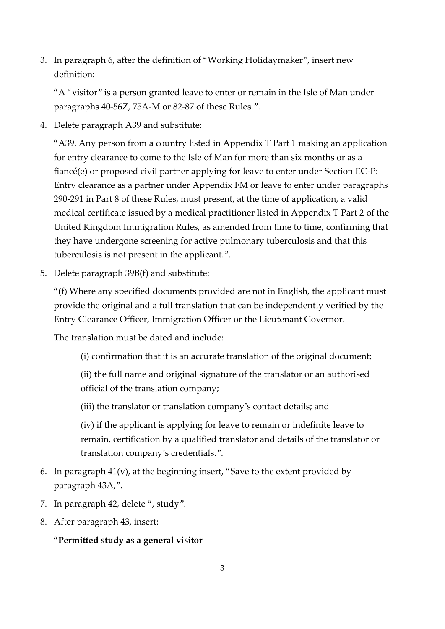3. In paragraph 6, after the definition of "Working Holidaymaker", insert new definition:

"A "visitor" is a person granted leave to enter or remain in the Isle of Man under paragraphs 40-56Z, 75A-M or 82-87 of these Rules.".

4. Delete paragraph A39 and substitute:

"A39. Any person from a country listed in Appendix T Part 1 making an application for entry clearance to come to the Isle of Man for more than six months or as a fiancé(e) or proposed civil partner applying for leave to enter under Section EC-P: Entry clearance as a partner under Appendix FM or leave to enter under paragraphs 290-291 in Part 8 of these Rules, must present, at the time of application, a valid medical certificate issued by a medical practitioner listed in Appendix T Part 2 of the United Kingdom Immigration Rules, as amended from time to time, confirming that they have undergone screening for active pulmonary tuberculosis and that this tuberculosis is not present in the applicant.".

5. Delete paragraph 39B(f) and substitute:

"(f) Where any specified documents provided are not in English, the applicant must provide the original and a full translation that can be independently verified by the Entry Clearance Officer, Immigration Officer or the Lieutenant Governor.

The translation must be dated and include:

(i) confirmation that it is an accurate translation of the original document;

(ii) the full name and original signature of the translator or an authorised official of the translation company;

(iii) the translator or translation company's contact details; and

(iv) if the applicant is applying for leave to remain or indefinite leave to remain, certification by a qualified translator and details of the translator or translation company's credentials.".

- 6. In paragraph 41(v), at the beginning insert, "Save to the extent provided by paragraph 43A,".
- 7. In paragraph 42, delete ", study".
- 8. After paragraph 43, insert:

## "**Permitted study as a general visitor**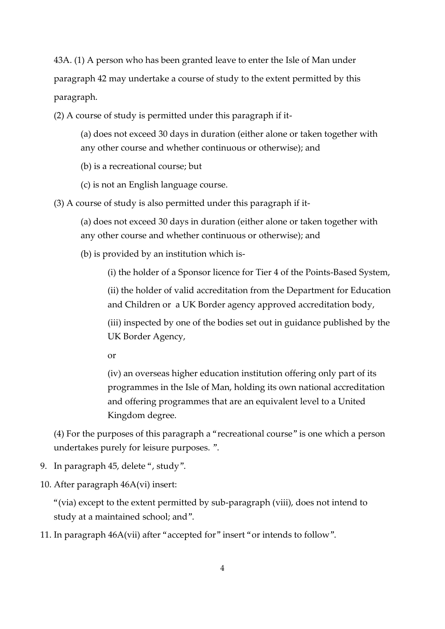43A. (1) A person who has been granted leave to enter the Isle of Man under paragraph 42 may undertake a course of study to the extent permitted by this paragraph.

(2) A course of study is permitted under this paragraph if it-

(a) does not exceed 30 days in duration (either alone or taken together with any other course and whether continuous or otherwise); and

(b) is a recreational course; but

(c) is not an English language course.

(3) A course of study is also permitted under this paragraph if it-

(a) does not exceed 30 days in duration (either alone or taken together with any other course and whether continuous or otherwise); and

(b) is provided by an institution which is-

(i) the holder of a Sponsor licence for Tier 4 of the Points-Based System,

(ii) the holder of valid accreditation from the Department for Education and Children or a UK Border agency approved accreditation body,

(iii) inspected by one of the bodies set out in guidance published by the UK Border Agency,

or

(iv) an overseas higher education institution offering only part of its programmes in the Isle of Man, holding its own national accreditation and offering programmes that are an equivalent level to a United Kingdom degree.

(4) For the purposes of this paragraph a "recreational course" is one which a person undertakes purely for leisure purposes. ".

9. In paragraph 45, delete ", study".

10. After paragraph 46A(vi) insert:

"(via) except to the extent permitted by sub-paragraph (viii), does not intend to study at a maintained school; and".

11. In paragraph 46A(vii) after "accepted for" insert "or intends to follow".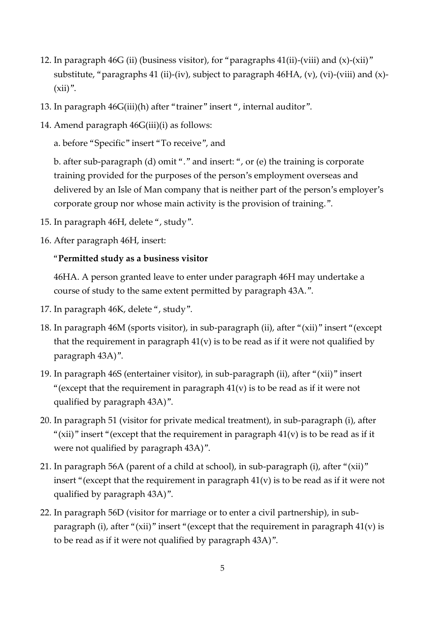- 12. In paragraph 46G (ii) (business visitor), for "paragraphs 41(ii)-(viii) and (x)-(xii)" substitute, "paragraphs 41 (ii)-(iv), subject to paragraph 46HA, (v), (vi)-(viii) and (x)-  $(xii)$ ".
- 13. In paragraph 46G(iii)(h) after "trainer" insert ", internal auditor".
- 14. Amend paragraph 46G(iii)(i) as follows:

a. before "Specific" insert "To receive", and

b. after sub-paragraph (d) omit "." and insert: ", or (e) the training is corporate training provided for the purposes of the person's employment overseas and delivered by an Isle of Man company that is neither part of the person's employer's corporate group nor whose main activity is the provision of training.".

- 15. In paragraph 46H, delete ", study".
- 16. After paragraph 46H, insert:

## "**Permitted study as a business visitor**

46HA. A person granted leave to enter under paragraph 46H may undertake a course of study to the same extent permitted by paragraph 43A.".

- 17. In paragraph 46K, delete ", study".
- 18. In paragraph 46M (sports visitor), in sub-paragraph (ii), after "(xii)" insert "(except that the requirement in paragraph  $41(v)$  is to be read as if it were not qualified by paragraph 43A)".
- 19. In paragraph 46S (entertainer visitor), in sub-paragraph (ii), after "(xii)" insert "(except that the requirement in paragraph  $41(v)$  is to be read as if it were not qualified by paragraph 43A)".
- 20. In paragraph 51 (visitor for private medical treatment), in sub-paragraph (i), after "(xii)" insert "(except that the requirement in paragraph  $41(v)$  is to be read as if it were not qualified by paragraph 43A)".
- 21. In paragraph 56A (parent of a child at school), in sub-paragraph (i), after "(xii)" insert "(except that the requirement in paragraph  $41(v)$  is to be read as if it were not qualified by paragraph 43A)".
- 22. In paragraph 56D (visitor for marriage or to enter a civil partnership), in subparagraph (i), after "(xii)" insert "(except that the requirement in paragraph  $41(v)$  is to be read as if it were not qualified by paragraph 43A)".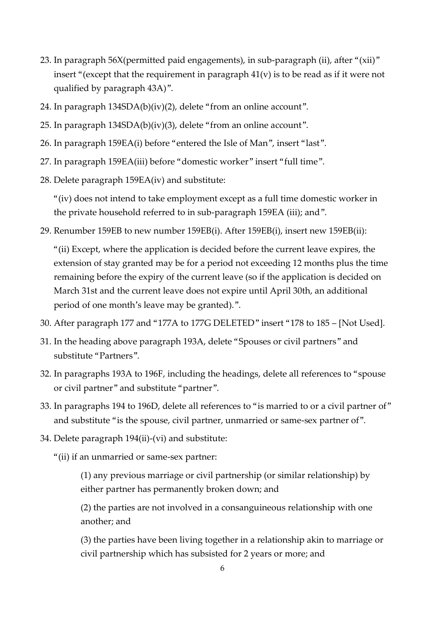- 23. In paragraph 56X(permitted paid engagements), in sub-paragraph (ii), after "(xii)" insert "(except that the requirement in paragraph  $41(v)$  is to be read as if it were not qualified by paragraph 43A)".
- 24. In paragraph 134SDA(b)(iv)(2), delete "from an online account".
- 25. In paragraph 134SDA(b)(iv)(3), delete "from an online account".
- 26. In paragraph 159EA(i) before "entered the Isle of Man", insert "last".
- 27. In paragraph 159EA(iii) before "domestic worker" insert "full time".
- 28. Delete paragraph 159EA(iv) and substitute:

"(iv) does not intend to take employment except as a full time domestic worker in the private household referred to in sub-paragraph 159EA (iii); and".

29. Renumber 159EB to new number 159EB(i). After 159EB(i), insert new 159EB(ii):

"(ii) Except, where the application is decided before the current leave expires, the extension of stay granted may be for a period not exceeding 12 months plus the time remaining before the expiry of the current leave (so if the application is decided on March 31st and the current leave does not expire until April 30th, an additional period of one month's leave may be granted).".

- 30. After paragraph 177 and "177A to 177G DELETED" insert "178 to 185 [Not Used].
- 31. In the heading above paragraph 193A, delete "Spouses or civil partners" and substitute "Partners".
- 32. In paragraphs 193A to 196F, including the headings, delete all references to "spouse or civil partner" and substitute "partner".
- 33. In paragraphs 194 to 196D, delete all references to "is married to or a civil partner of" and substitute "is the spouse, civil partner, unmarried or same-sex partner of".
- 34. Delete paragraph 194(ii)-(vi) and substitute:
	- "(ii) if an unmarried or same-sex partner:

(1) any previous marriage or civil partnership (or similar relationship) by either partner has permanently broken down; and

(2) the parties are not involved in a consanguineous relationship with one another; and

(3) the parties have been living together in a relationship akin to marriage or civil partnership which has subsisted for 2 years or more; and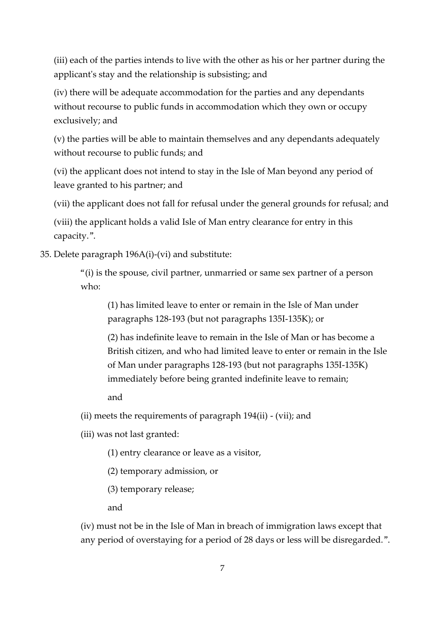(iii) each of the parties intends to live with the other as his or her partner during the applicant's stay and the relationship is subsisting; and

(iv) there will be adequate accommodation for the parties and any dependants without recourse to public funds in accommodation which they own or occupy exclusively; and

(v) the parties will be able to maintain themselves and any dependants adequately without recourse to public funds; and

(vi) the applicant does not intend to stay in the Isle of Man beyond any period of leave granted to his partner; and

(vii) the applicant does not fall for refusal under the general grounds for refusal; and

(viii) the applicant holds a valid Isle of Man entry clearance for entry in this capacity.".

35. Delete paragraph 196A(i)-(vi) and substitute:

"(i) is the spouse, civil partner, unmarried or same sex partner of a person who:

(1) has limited leave to enter or remain in the Isle of Man under paragraphs 128-193 (but not paragraphs 135I-135K); or

(2) has indefinite leave to remain in the Isle of Man or has become a British citizen, and who had limited leave to enter or remain in the Isle of Man under paragraphs 128-193 (but not paragraphs 135I-135K) immediately before being granted indefinite leave to remain;

and

(ii) meets the requirements of paragraph 194(ii) - (vii); and

(iii) was not last granted:

(1) entry clearance or leave as a visitor,

(2) temporary admission, or

(3) temporary release;

and

(iv) must not be in the Isle of Man in breach of immigration laws except that any period of overstaying for a period of 28 days or less will be disregarded.".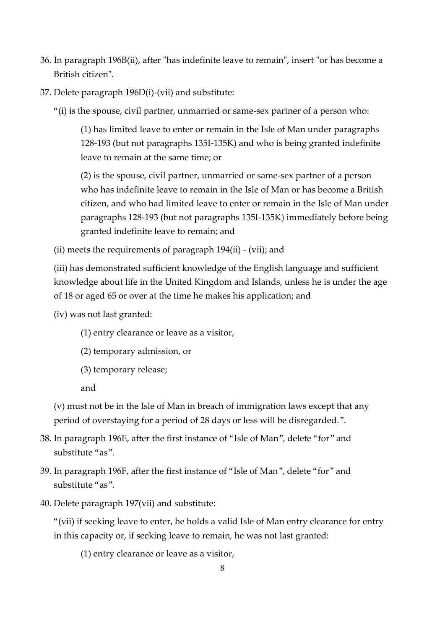- 36. In paragraph 196B(ii), after "has indefinite leave to remain", insert "or has become a British citizen".
- 37. Delete paragraph 196D(i)-(vii) and substitute:
	- "(i) is the spouse, civil partner, unmarried or same-sex partner of a person who:

(1) has limited leave to enter or remain in the Isle of Man under paragraphs 128-193 (but not paragraphs 135I-135K) and who is being granted indefinite leave to remain at the same time; or

(2) is the spouse, civil partner, unmarried or same-sex partner of a person who has indefinite leave to remain in the Isle of Man or has become a British citizen, and who had limited leave to enter or remain in the Isle of Man under paragraphs 128-193 (but not paragraphs 135I-135K) immediately before being granted indefinite leave to remain; and

(ii) meets the requirements of paragraph 194(ii) - (vii); and

(iii) has demonstrated sufficient knowledge of the English language and sufficient knowledge about life in the United Kingdom and Islands, unless he is under the age of 18 or aged 65 or over at the time he makes his application; and

(iv) was not last granted:

- (1) entry clearance or leave as a visitor,
- (2) temporary admission, or
- (3) temporary release;

and

(v) must not be in the Isle of Man in breach of immigration laws except that any period of overstaying for a period of 28 days or less will be disregarded.".

- 38. In paragraph 196E, after the first instance of "Isle of Man", delete "for" and substitute "as".
- 39. In paragraph 196F, after the first instance of "Isle of Man", delete "for" and substitute "as".
- 40. Delete paragraph 197(vii) and substitute:

"(vii) if seeking leave to enter, he holds a valid Isle of Man entry clearance for entry in this capacity or, if seeking leave to remain, he was not last granted:

(1) entry clearance or leave as a visitor,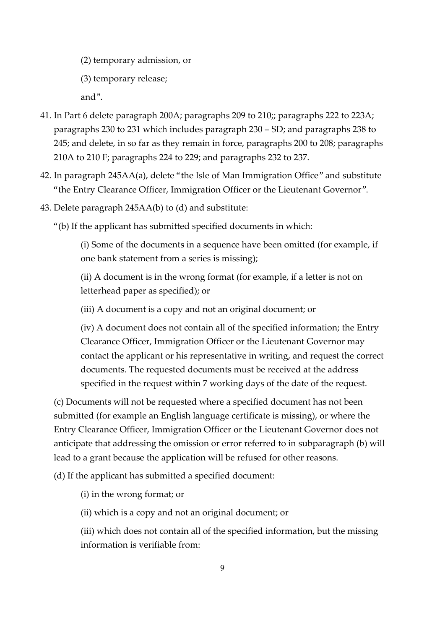(2) temporary admission, or

(3) temporary release;

and".

- 41. In Part 6 delete paragraph 200A; paragraphs 209 to 210;; paragraphs 222 to 223A; paragraphs 230 to 231 which includes paragraph 230 – SD; and paragraphs 238 to 245; and delete, in so far as they remain in force, paragraphs 200 to 208; paragraphs 210A to 210 F; paragraphs 224 to 229; and paragraphs 232 to 237.
- 42. In paragraph 245AA(a), delete "the Isle of Man Immigration Office" and substitute "the Entry Clearance Officer, Immigration Officer or the Lieutenant Governor".
- 43. Delete paragraph 245AA(b) to (d) and substitute:
	- "(b) If the applicant has submitted specified documents in which:

(i) Some of the documents in a sequence have been omitted (for example, if one bank statement from a series is missing);

(ii) A document is in the wrong format (for example, if a letter is not on letterhead paper as specified); or

(iii) A document is a copy and not an original document; or

(iv) A document does not contain all of the specified information; the Entry Clearance Officer, Immigration Officer or the Lieutenant Governor may contact the applicant or his representative in writing, and request the correct documents. The requested documents must be received at the address specified in the request within 7 working days of the date of the request.

(c) Documents will not be requested where a specified document has not been submitted (for example an English language certificate is missing), or where the Entry Clearance Officer, Immigration Officer or the Lieutenant Governor does not anticipate that addressing the omission or error referred to in subparagraph (b) will lead to a grant because the application will be refused for other reasons.

(d) If the applicant has submitted a specified document:

(i) in the wrong format; or

(ii) which is a copy and not an original document; or

(iii) which does not contain all of the specified information, but the missing information is verifiable from: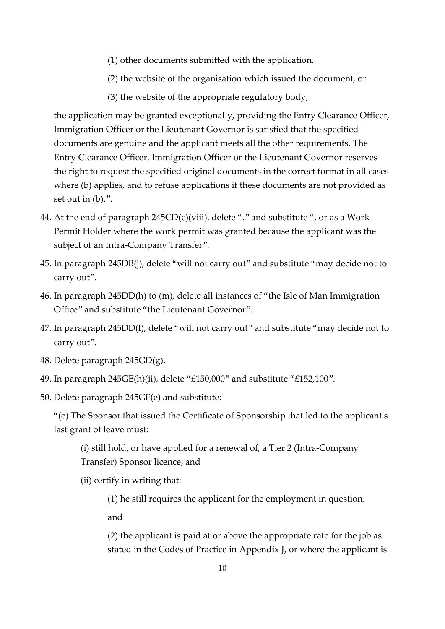- (1) other documents submitted with the application,
- (2) the website of the organisation which issued the document, or
- (3) the website of the appropriate regulatory body;

the application may be granted exceptionally, providing the Entry Clearance Officer, Immigration Officer or the Lieutenant Governor is satisfied that the specified documents are genuine and the applicant meets all the other requirements. The Entry Clearance Officer, Immigration Officer or the Lieutenant Governor reserves the right to request the specified original documents in the correct format in all cases where (b) applies, and to refuse applications if these documents are not provided as set out in (b).".

- 44. At the end of paragraph  $245CD(c)(viii)$ , delete "." and substitute ", or as a Work Permit Holder where the work permit was granted because the applicant was the subject of an Intra-Company Transfer".
- 45. In paragraph 245DB(j), delete "will not carry out" and substitute "may decide not to carry out".
- 46. In paragraph 245DD(h) to (m), delete all instances of "the Isle of Man Immigration Office" and substitute "the Lieutenant Governor".
- 47. In paragraph 245DD(l), delete "will not carry out" and substitute "may decide not to carry out".
- 48. Delete paragraph 245GD(g).
- 49. In paragraph 245GE(h)(ii), delete "£150,000" and substitute "£152,100".
- 50. Delete paragraph 245GF(e) and substitute:

"(e) The Sponsor that issued the Certificate of Sponsorship that led to the applicant's last grant of leave must:

(i) still hold, or have applied for a renewal of, a Tier 2 (Intra-Company Transfer) Sponsor licence; and

(ii) certify in writing that:

(1) he still requires the applicant for the employment in question, and

(2) the applicant is paid at or above the appropriate rate for the job as stated in the Codes of Practice in Appendix J, or where the applicant is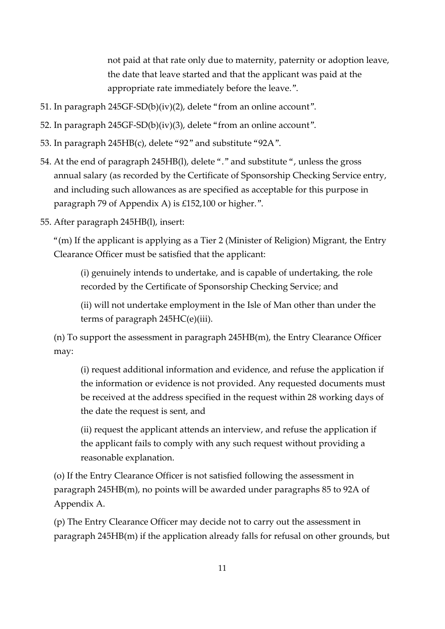not paid at that rate only due to maternity, paternity or adoption leave, the date that leave started and that the applicant was paid at the appropriate rate immediately before the leave.".

- 51. In paragraph 245GF-SD(b)(iv)(2), delete "from an online account".
- 52. In paragraph 245GF-SD(b)(iv)(3), delete "from an online account".
- 53. In paragraph 245HB(c), delete "92" and substitute "92A".
- 54. At the end of paragraph 245HB(l), delete "." and substitute ", unless the gross annual salary (as recorded by the Certificate of Sponsorship Checking Service entry, and including such allowances as are specified as acceptable for this purpose in paragraph 79 of Appendix A) is £152,100 or higher.".
- 55. After paragraph 245HB(l), insert:

"(m) If the applicant is applying as a Tier 2 (Minister of Religion) Migrant, the Entry Clearance Officer must be satisfied that the applicant:

(i) genuinely intends to undertake, and is capable of undertaking, the role recorded by the Certificate of Sponsorship Checking Service; and

(ii) will not undertake employment in the Isle of Man other than under the terms of paragraph 245HC(e)(iii).

(n) To support the assessment in paragraph 245HB(m), the Entry Clearance Officer may:

(i) request additional information and evidence, and refuse the application if the information or evidence is not provided. Any requested documents must be received at the address specified in the request within 28 working days of the date the request is sent, and

(ii) request the applicant attends an interview, and refuse the application if the applicant fails to comply with any such request without providing a reasonable explanation.

(o) If the Entry Clearance Officer is not satisfied following the assessment in paragraph 245HB(m), no points will be awarded under paragraphs 85 to 92A of Appendix A.

(p) The Entry Clearance Officer may decide not to carry out the assessment in paragraph 245HB(m) if the application already falls for refusal on other grounds, but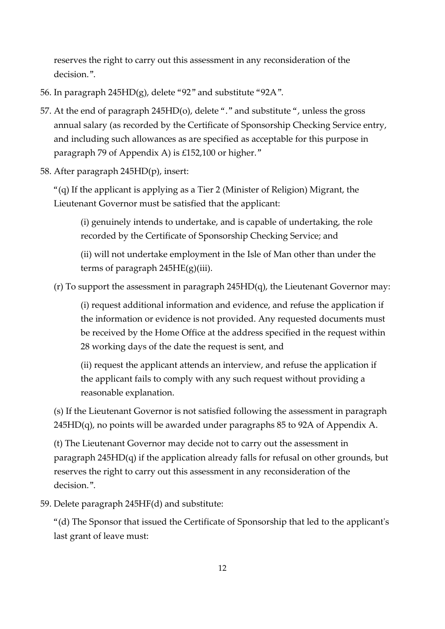reserves the right to carry out this assessment in any reconsideration of the decision.".

- 56. In paragraph 245HD(g), delete "92" and substitute "92A".
- 57. At the end of paragraph 245HD(o), delete "." and substitute ", unless the gross annual salary (as recorded by the Certificate of Sponsorship Checking Service entry, and including such allowances as are specified as acceptable for this purpose in paragraph 79 of Appendix A) is £152,100 or higher."
- 58. After paragraph 245HD(p), insert:

"(q) If the applicant is applying as a Tier 2 (Minister of Religion) Migrant, the Lieutenant Governor must be satisfied that the applicant:

(i) genuinely intends to undertake, and is capable of undertaking, the role recorded by the Certificate of Sponsorship Checking Service; and

(ii) will not undertake employment in the Isle of Man other than under the terms of paragraph 245HE(g)(iii).

(r) To support the assessment in paragraph 245HD(q), the Lieutenant Governor may:

(i) request additional information and evidence, and refuse the application if the information or evidence is not provided. Any requested documents must be received by the Home Office at the address specified in the request within 28 working days of the date the request is sent, and

(ii) request the applicant attends an interview, and refuse the application if the applicant fails to comply with any such request without providing a reasonable explanation.

(s) If the Lieutenant Governor is not satisfied following the assessment in paragraph  $245HD(q)$ , no points will be awarded under paragraphs 85 to 92A of Appendix A.

(t) The Lieutenant Governor may decide not to carry out the assessment in paragraph 245HD(q) if the application already falls for refusal on other grounds, but reserves the right to carry out this assessment in any reconsideration of the decision.".

59. Delete paragraph 245HF(d) and substitute:

"(d) The Sponsor that issued the Certificate of Sponsorship that led to the applicant's last grant of leave must: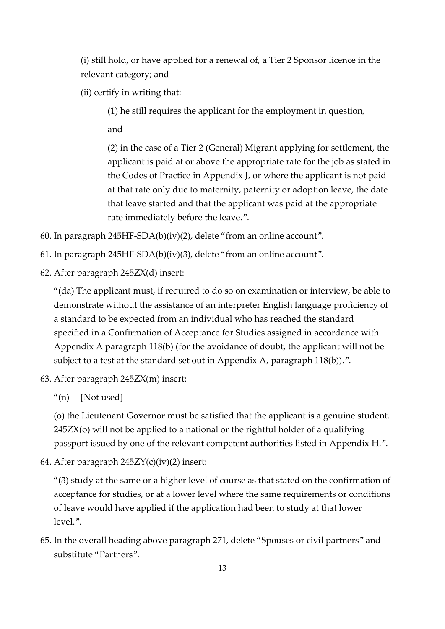(i) still hold, or have applied for a renewal of, a Tier 2 Sponsor licence in the relevant category; and

(ii) certify in writing that:

(1) he still requires the applicant for the employment in question,

and

(2) in the case of a Tier 2 (General) Migrant applying for settlement, the applicant is paid at or above the appropriate rate for the job as stated in the Codes of Practice in Appendix J, or where the applicant is not paid at that rate only due to maternity, paternity or adoption leave, the date that leave started and that the applicant was paid at the appropriate rate immediately before the leave.".

- 60. In paragraph 245HF-SDA(b)(iv)(2), delete "from an online account".
- 61. In paragraph 245HF-SDA(b)(iv)(3), delete "from an online account".
- 62. After paragraph 245ZX(d) insert:

"(da) The applicant must, if required to do so on examination or interview, be able to demonstrate without the assistance of an interpreter English language proficiency of a standard to be expected from an individual who has reached the standard specified in a Confirmation of Acceptance for Studies assigned in accordance with Appendix A paragraph 118(b) (for the avoidance of doubt, the applicant will not be subject to a test at the standard set out in Appendix A, paragraph 118(b)).".

- 63. After paragraph 245ZX(m) insert:
	- "(n) [Not used]

(o) the Lieutenant Governor must be satisfied that the applicant is a genuine student. 245ZX(o) will not be applied to a national or the rightful holder of a qualifying passport issued by one of the relevant competent authorities listed in Appendix H.".

64. After paragraph 245ZY(c)(iv)(2) insert:

"(3) study at the same or a higher level of course as that stated on the confirmation of acceptance for studies, or at a lower level where the same requirements or conditions of leave would have applied if the application had been to study at that lower level.".

65. In the overall heading above paragraph 271, delete "Spouses or civil partners" and substitute "Partners".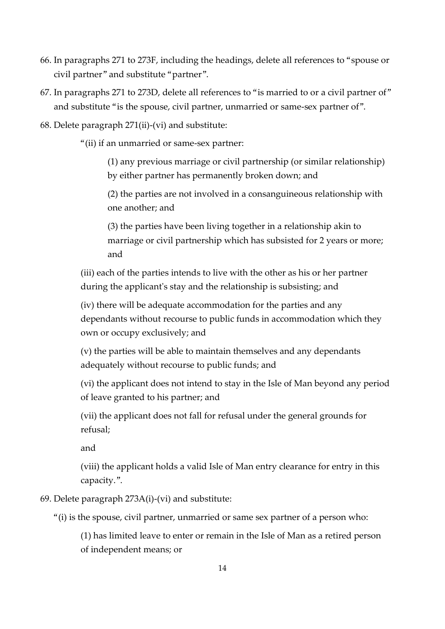- 66. In paragraphs 271 to 273F, including the headings, delete all references to "spouse or civil partner" and substitute "partner".
- 67. In paragraphs 271 to 273D, delete all references to "is married to or a civil partner of" and substitute "is the spouse, civil partner, unmarried or same-sex partner of".
- 68. Delete paragraph 271(ii)-(vi) and substitute:

"(ii) if an unmarried or same-sex partner:

(1) any previous marriage or civil partnership (or similar relationship) by either partner has permanently broken down; and

(2) the parties are not involved in a consanguineous relationship with one another; and

(3) the parties have been living together in a relationship akin to marriage or civil partnership which has subsisted for 2 years or more; and

(iii) each of the parties intends to live with the other as his or her partner during the applicant's stay and the relationship is subsisting; and

(iv) there will be adequate accommodation for the parties and any dependants without recourse to public funds in accommodation which they own or occupy exclusively; and

(v) the parties will be able to maintain themselves and any dependants adequately without recourse to public funds; and

(vi) the applicant does not intend to stay in the Isle of Man beyond any period of leave granted to his partner; and

(vii) the applicant does not fall for refusal under the general grounds for refusal;

and

(viii) the applicant holds a valid Isle of Man entry clearance for entry in this capacity.".

69. Delete paragraph 273A(i)-(vi) and substitute:

"(i) is the spouse, civil partner, unmarried or same sex partner of a person who:

(1) has limited leave to enter or remain in the Isle of Man as a retired person of independent means; or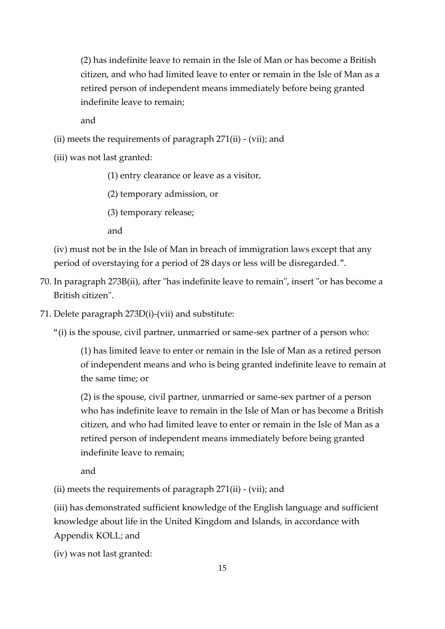(2) has indefinite leave to remain in the Isle of Man or has become a British citizen, and who had limited leave to enter or remain in the Isle of Man as a retired person of independent means immediately before being granted indefinite leave to remain;

and

(ii) meets the requirements of paragraph 271(ii) - (vii); and

(iii) was not last granted:

(1) entry clearance or leave as a visitor,

(2) temporary admission, or

(3) temporary release;

and

(iv) must not be in the Isle of Man in breach of immigration laws except that any period of overstaying for a period of 28 days or less will be disregarded.".

- 70. In paragraph 273B(ii), after "has indefinite leave to remain", insert "or has become a British citizen".
- 71. Delete paragraph 273D(i)-(vii) and substitute:

"(i) is the spouse, civil partner, unmarried or same-sex partner of a person who:

(1) has limited leave to enter or remain in the Isle of Man as a retired person of independent means and who is being granted indefinite leave to remain at the same time; or

(2) is the spouse, civil partner, unmarried or same-sex partner of a person who has indefinite leave to remain in the Isle of Man or has become a British citizen, and who had limited leave to enter or remain in the Isle of Man as a retired person of independent means immediately before being granted indefinite leave to remain;

and

(ii) meets the requirements of paragraph 271(ii) - (vii); and

(iii) has demonstrated sufficient knowledge of the English language and sufficient knowledge about life in the United Kingdom and Islands, in accordance with Appendix KOLL; and

(iv) was not last granted: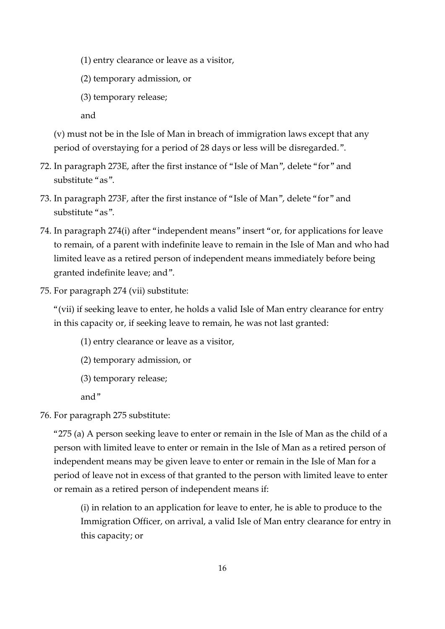(1) entry clearance or leave as a visitor,

(2) temporary admission, or

(3) temporary release;

and

(v) must not be in the Isle of Man in breach of immigration laws except that any period of overstaying for a period of 28 days or less will be disregarded.".

- 72. In paragraph 273E, after the first instance of "Isle of Man", delete "for" and substitute "as".
- 73. In paragraph 273F, after the first instance of "Isle of Man", delete "for" and substitute "as".
- 74. In paragraph 274(i) after "independent means" insert "or, for applications for leave to remain, of a parent with indefinite leave to remain in the Isle of Man and who had limited leave as a retired person of independent means immediately before being granted indefinite leave; and".
- 75. For paragraph 274 (vii) substitute:

"(vii) if seeking leave to enter, he holds a valid Isle of Man entry clearance for entry in this capacity or, if seeking leave to remain, he was not last granted:

(1) entry clearance or leave as a visitor,

- (2) temporary admission, or
- (3) temporary release;

and"

76. For paragraph 275 substitute:

"275 (a) A person seeking leave to enter or remain in the Isle of Man as the child of a person with limited leave to enter or remain in the Isle of Man as a retired person of independent means may be given leave to enter or remain in the Isle of Man for a period of leave not in excess of that granted to the person with limited leave to enter or remain as a retired person of independent means if:

(i) in relation to an application for leave to enter, he is able to produce to the Immigration Officer, on arrival, a valid Isle of Man entry clearance for entry in this capacity; or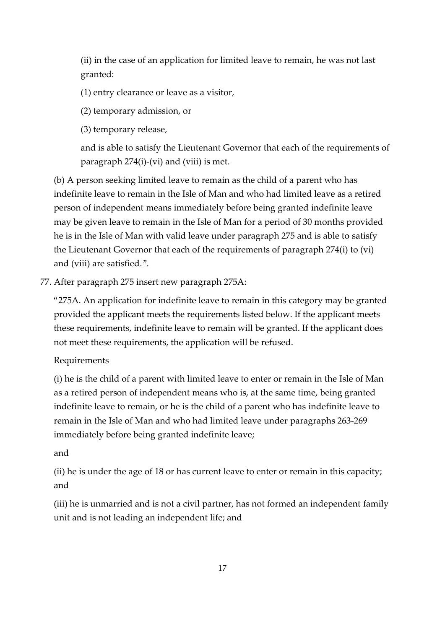(ii) in the case of an application for limited leave to remain, he was not last granted:

(1) entry clearance or leave as a visitor,

(2) temporary admission, or

(3) temporary release,

and is able to satisfy the Lieutenant Governor that each of the requirements of paragraph 274(i)-(vi) and (viii) is met.

(b) A person seeking limited leave to remain as the child of a parent who has indefinite leave to remain in the Isle of Man and who had limited leave as a retired person of independent means immediately before being granted indefinite leave may be given leave to remain in the Isle of Man for a period of 30 months provided he is in the Isle of Man with valid leave under paragraph 275 and is able to satisfy the Lieutenant Governor that each of the requirements of paragraph 274(i) to (vi) and (viii) are satisfied.".

77. After paragraph 275 insert new paragraph 275A:

"275A. An application for indefinite leave to remain in this category may be granted provided the applicant meets the requirements listed below. If the applicant meets these requirements, indefinite leave to remain will be granted. If the applicant does not meet these requirements, the application will be refused.

## Requirements

(i) he is the child of a parent with limited leave to enter or remain in the Isle of Man as a retired person of independent means who is, at the same time, being granted indefinite leave to remain, or he is the child of a parent who has indefinite leave to remain in the Isle of Man and who had limited leave under paragraphs 263-269 immediately before being granted indefinite leave;

#### and

(ii) he is under the age of 18 or has current leave to enter or remain in this capacity; and

(iii) he is unmarried and is not a civil partner, has not formed an independent family unit and is not leading an independent life; and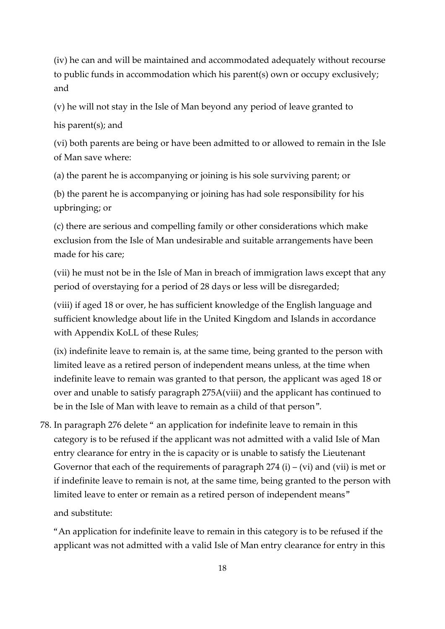(iv) he can and will be maintained and accommodated adequately without recourse to public funds in accommodation which his parent(s) own or occupy exclusively; and

(v) he will not stay in the Isle of Man beyond any period of leave granted to

his parent(s); and

(vi) both parents are being or have been admitted to or allowed to remain in the Isle of Man save where:

(a) the parent he is accompanying or joining is his sole surviving parent; or

(b) the parent he is accompanying or joining has had sole responsibility for his upbringing; or

(c) there are serious and compelling family or other considerations which make exclusion from the Isle of Man undesirable and suitable arrangements have been made for his care;

(vii) he must not be in the Isle of Man in breach of immigration laws except that any period of overstaying for a period of 28 days or less will be disregarded;

(viii) if aged 18 or over, he has sufficient knowledge of the English language and sufficient knowledge about life in the United Kingdom and Islands in accordance with Appendix KoLL of these Rules;

(ix) indefinite leave to remain is, at the same time, being granted to the person with limited leave as a retired person of independent means unless, at the time when indefinite leave to remain was granted to that person, the applicant was aged 18 or over and unable to satisfy paragraph 275A(viii) and the applicant has continued to be in the Isle of Man with leave to remain as a child of that person".

78. In paragraph 276 delete " an application for indefinite leave to remain in this category is to be refused if the applicant was not admitted with a valid Isle of Man entry clearance for entry in the is capacity or is unable to satisfy the Lieutenant Governor that each of the requirements of paragraph  $274$  (i) – (vi) and (vii) is met or if indefinite leave to remain is not, at the same time, being granted to the person with limited leave to enter or remain as a retired person of independent means"

and substitute:

"An application for indefinite leave to remain in this category is to be refused if the applicant was not admitted with a valid Isle of Man entry clearance for entry in this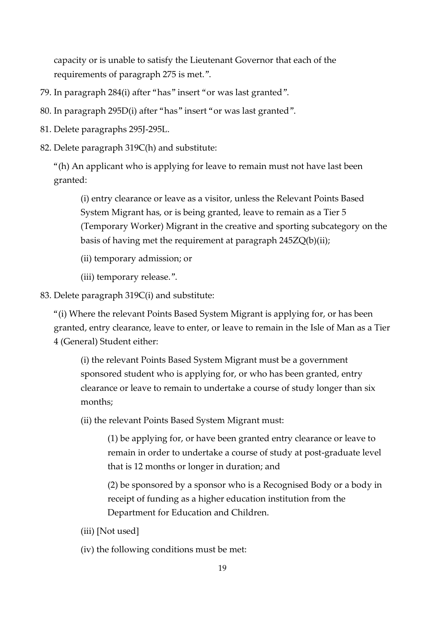capacity or is unable to satisfy the Lieutenant Governor that each of the requirements of paragraph 275 is met.".

- 79. In paragraph 284(i) after "has" insert "or was last granted".
- 80. In paragraph 295D(i) after "has" insert "or was last granted".
- 81. Delete paragraphs 295J-295L.
- 82. Delete paragraph 319C(h) and substitute:

"(h) An applicant who is applying for leave to remain must not have last been granted:

(i) entry clearance or leave as a visitor, unless the Relevant Points Based System Migrant has, or is being granted, leave to remain as a Tier 5 (Temporary Worker) Migrant in the creative and sporting subcategory on the basis of having met the requirement at paragraph 245ZQ(b)(ii);

- (ii) temporary admission; or
- (iii) temporary release.".
- 83. Delete paragraph 319C(i) and substitute:

"(i) Where the relevant Points Based System Migrant is applying for, or has been granted, entry clearance, leave to enter, or leave to remain in the Isle of Man as a Tier 4 (General) Student either:

(i) the relevant Points Based System Migrant must be a government sponsored student who is applying for, or who has been granted, entry clearance or leave to remain to undertake a course of study longer than six months;

(ii) the relevant Points Based System Migrant must:

(1) be applying for, or have been granted entry clearance or leave to remain in order to undertake a course of study at post-graduate level that is 12 months or longer in duration; and

(2) be sponsored by a sponsor who is a Recognised Body or a body in receipt of funding as a higher education institution from the Department for Education and Children.

- (iii) [Not used]
- (iv) the following conditions must be met: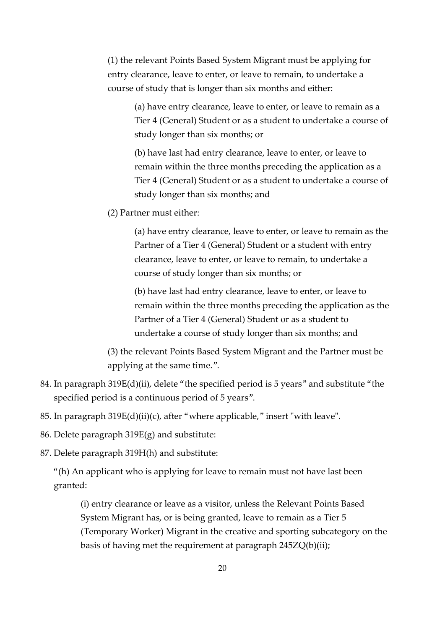(1) the relevant Points Based System Migrant must be applying for entry clearance, leave to enter, or leave to remain, to undertake a course of study that is longer than six months and either:

> (a) have entry clearance, leave to enter, or leave to remain as a Tier 4 (General) Student or as a student to undertake a course of study longer than six months; or

> (b) have last had entry clearance, leave to enter, or leave to remain within the three months preceding the application as a Tier 4 (General) Student or as a student to undertake a course of study longer than six months; and

(2) Partner must either:

(a) have entry clearance, leave to enter, or leave to remain as the Partner of a Tier 4 (General) Student or a student with entry clearance, leave to enter, or leave to remain, to undertake a course of study longer than six months; or

(b) have last had entry clearance, leave to enter, or leave to remain within the three months preceding the application as the Partner of a Tier 4 (General) Student or as a student to undertake a course of study longer than six months; and

(3) the relevant Points Based System Migrant and the Partner must be applying at the same time.".

- 84. In paragraph 319E(d)(ii), delete "the specified period is 5 years" and substitute "the specified period is a continuous period of 5 years".
- 85. In paragraph 319E(d)(ii)(c), after "where applicable," insert "with leave".
- 86. Delete paragraph 319E(g) and substitute:

87. Delete paragraph 319H(h) and substitute:

"(h) An applicant who is applying for leave to remain must not have last been granted:

(i) entry clearance or leave as a visitor, unless the Relevant Points Based System Migrant has, or is being granted, leave to remain as a Tier 5 (Temporary Worker) Migrant in the creative and sporting subcategory on the basis of having met the requirement at paragraph 245ZQ(b)(ii);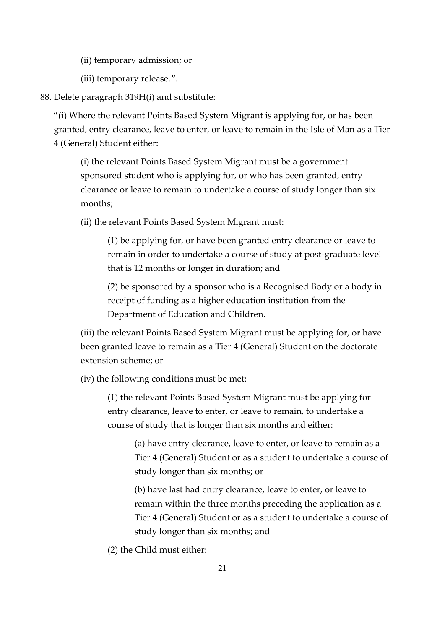(ii) temporary admission; or

(iii) temporary release.".

88. Delete paragraph 319H(i) and substitute:

"(i) Where the relevant Points Based System Migrant is applying for, or has been granted, entry clearance, leave to enter, or leave to remain in the Isle of Man as a Tier 4 (General) Student either:

(i) the relevant Points Based System Migrant must be a government sponsored student who is applying for, or who has been granted, entry clearance or leave to remain to undertake a course of study longer than six months;

(ii) the relevant Points Based System Migrant must:

(1) be applying for, or have been granted entry clearance or leave to remain in order to undertake a course of study at post-graduate level that is 12 months or longer in duration; and

(2) be sponsored by a sponsor who is a Recognised Body or a body in receipt of funding as a higher education institution from the Department of Education and Children.

(iii) the relevant Points Based System Migrant must be applying for, or have been granted leave to remain as a Tier 4 (General) Student on the doctorate extension scheme; or

(iv) the following conditions must be met:

(1) the relevant Points Based System Migrant must be applying for entry clearance, leave to enter, or leave to remain, to undertake a course of study that is longer than six months and either:

> (a) have entry clearance, leave to enter, or leave to remain as a Tier 4 (General) Student or as a student to undertake a course of study longer than six months; or

> (b) have last had entry clearance, leave to enter, or leave to remain within the three months preceding the application as a Tier 4 (General) Student or as a student to undertake a course of study longer than six months; and

(2) the Child must either: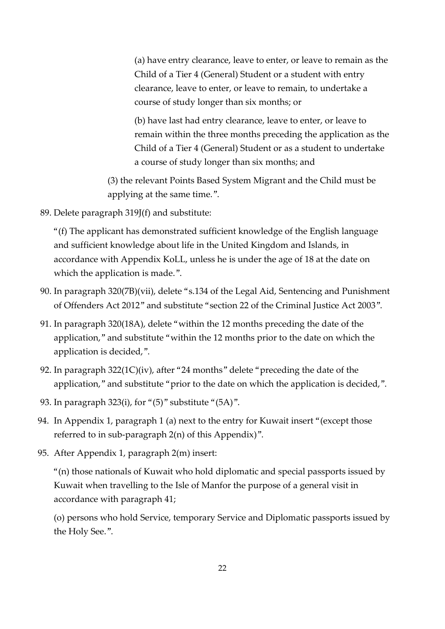(a) have entry clearance, leave to enter, or leave to remain as the Child of a Tier 4 (General) Student or a student with entry clearance, leave to enter, or leave to remain, to undertake a course of study longer than six months; or

(b) have last had entry clearance, leave to enter, or leave to remain within the three months preceding the application as the Child of a Tier 4 (General) Student or as a student to undertake a course of study longer than six months; and

(3) the relevant Points Based System Migrant and the Child must be applying at the same time.".

89. Delete paragraph 319J(f) and substitute:

"(f) The applicant has demonstrated sufficient knowledge of the English language and sufficient knowledge about life in the United Kingdom and Islands, in accordance with Appendix KoLL, unless he is under the age of 18 at the date on which the application is made.".

- 90. In paragraph 320(7B)(vii), delete "s.134 of the Legal Aid, Sentencing and Punishment of Offenders Act 2012" and substitute "section 22 of the Criminal Justice Act 2003".
- 91. In paragraph 320(18A), delete "within the 12 months preceding the date of the application," and substitute "within the 12 months prior to the date on which the application is decided,".
- 92. In paragraph 322(1C)(iv), after "24 months" delete "preceding the date of the application," and substitute "prior to the date on which the application is decided,".
- 93. In paragraph 323(i), for "(5)" substitute "(5A)".
- 94. In Appendix 1, paragraph 1 (a) next to the entry for Kuwait insert "(except those referred to in sub-paragraph 2(n) of this Appendix)".
- 95. After Appendix 1, paragraph 2(m) insert:

"(n) those nationals of Kuwait who hold diplomatic and special passports issued by Kuwait when travelling to the Isle of Manfor the purpose of a general visit in accordance with paragraph 41;

(o) persons who hold Service, temporary Service and Diplomatic passports issued by the Holy See.".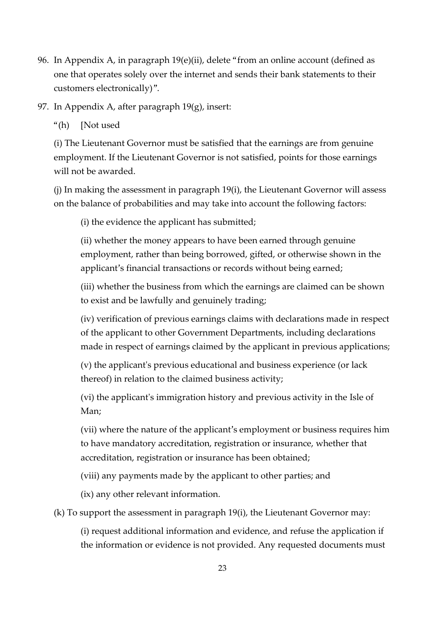96. In Appendix A, in paragraph 19(e)(ii), delete "from an online account (defined as one that operates solely over the internet and sends their bank statements to their customers electronically)".

97. In Appendix A, after paragraph 19(g), insert:

"(h) [Not used

(i) The Lieutenant Governor must be satisfied that the earnings are from genuine employment. If the Lieutenant Governor is not satisfied, points for those earnings will not be awarded.

(j) In making the assessment in paragraph 19(i), the Lieutenant Governor will assess on the balance of probabilities and may take into account the following factors:

(i) the evidence the applicant has submitted;

(ii) whether the money appears to have been earned through genuine employment, rather than being borrowed, gifted, or otherwise shown in the applicant's financial transactions or records without being earned;

(iii) whether the business from which the earnings are claimed can be shown to exist and be lawfully and genuinely trading;

(iv) verification of previous earnings claims with declarations made in respect of the applicant to other Government Departments, including declarations made in respect of earnings claimed by the applicant in previous applications;

(v) the applicant's previous educational and business experience (or lack thereof) in relation to the claimed business activity;

(vi) the applicant's immigration history and previous activity in the Isle of Man;

(vii) where the nature of the applicant's employment or business requires him to have mandatory accreditation, registration or insurance, whether that accreditation, registration or insurance has been obtained;

(viii) any payments made by the applicant to other parties; and

(ix) any other relevant information.

(k) To support the assessment in paragraph 19(i), the Lieutenant Governor may:

(i) request additional information and evidence, and refuse the application if the information or evidence is not provided. Any requested documents must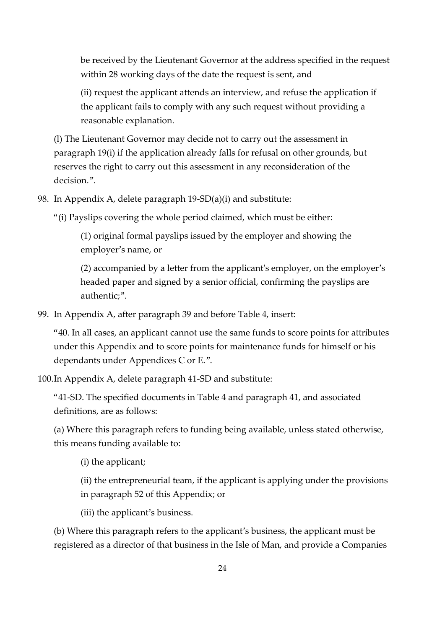be received by the Lieutenant Governor at the address specified in the request within 28 working days of the date the request is sent, and

(ii) request the applicant attends an interview, and refuse the application if the applicant fails to comply with any such request without providing a reasonable explanation.

(l) The Lieutenant Governor may decide not to carry out the assessment in paragraph 19(i) if the application already falls for refusal on other grounds, but reserves the right to carry out this assessment in any reconsideration of the decision.".

98. In Appendix A, delete paragraph 19-SD(a)(i) and substitute:

"(i) Payslips covering the whole period claimed, which must be either:

(1) original formal payslips issued by the employer and showing the employer's name, or

(2) accompanied by a letter from the applicant's employer, on the employer's headed paper and signed by a senior official, confirming the payslips are authentic;".

99. In Appendix A, after paragraph 39 and before Table 4, insert:

"40. In all cases, an applicant cannot use the same funds to score points for attributes under this Appendix and to score points for maintenance funds for himself or his dependants under Appendices C or E.".

100.In Appendix A, delete paragraph 41-SD and substitute:

"41-SD. The specified documents in Table 4 and paragraph 41, and associated definitions, are as follows:

(a) Where this paragraph refers to funding being available, unless stated otherwise, this means funding available to:

(i) the applicant;

(ii) the entrepreneurial team, if the applicant is applying under the provisions in paragraph 52 of this Appendix; or

(iii) the applicant's business.

(b) Where this paragraph refers to the applicant's business, the applicant must be registered as a director of that business in the Isle of Man, and provide a Companies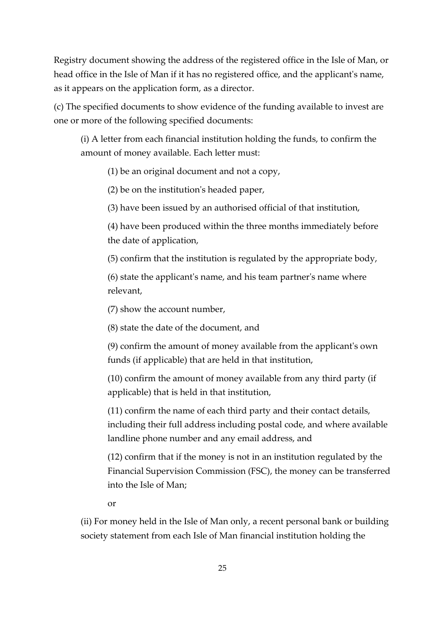Registry document showing the address of the registered office in the Isle of Man, or head office in the Isle of Man if it has no registered office, and the applicant's name, as it appears on the application form, as a director.

(c) The specified documents to show evidence of the funding available to invest are one or more of the following specified documents:

(i) A letter from each financial institution holding the funds, to confirm the amount of money available. Each letter must:

(1) be an original document and not a copy,

(2) be on the institution's headed paper,

(3) have been issued by an authorised official of that institution,

(4) have been produced within the three months immediately before the date of application,

(5) confirm that the institution is regulated by the appropriate body,

(6) state the applicant's name, and his team partner's name where relevant,

(7) show the account number,

(8) state the date of the document, and

(9) confirm the amount of money available from the applicant's own funds (if applicable) that are held in that institution,

(10) confirm the amount of money available from any third party (if applicable) that is held in that institution,

(11) confirm the name of each third party and their contact details, including their full address including postal code, and where available landline phone number and any email address, and

(12) confirm that if the money is not in an institution regulated by the Financial Supervision Commission (FSC), the money can be transferred into the Isle of Man;

or

(ii) For money held in the Isle of Man only, a recent personal bank or building society statement from each Isle of Man financial institution holding the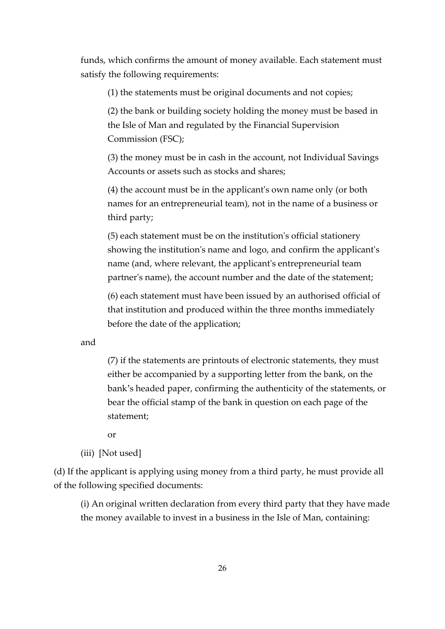funds, which confirms the amount of money available. Each statement must satisfy the following requirements:

(1) the statements must be original documents and not copies;

(2) the bank or building society holding the money must be based in the Isle of Man and regulated by the Financial Supervision Commission (FSC);

(3) the money must be in cash in the account, not Individual Savings Accounts or assets such as stocks and shares;

(4) the account must be in the applicant's own name only (or both names for an entrepreneurial team), not in the name of a business or third party;

(5) each statement must be on the institution's official stationery showing the institution's name and logo, and confirm the applicant's name (and, where relevant, the applicant's entrepreneurial team partner's name), the account number and the date of the statement;

(6) each statement must have been issued by an authorised official of that institution and produced within the three months immediately before the date of the application;

and

(7) if the statements are printouts of electronic statements, they must either be accompanied by a supporting letter from the bank, on the bank's headed paper, confirming the authenticity of the statements, or bear the official stamp of the bank in question on each page of the statement;

or

(iii) [Not used]

(d) If the applicant is applying using money from a third party, he must provide all of the following specified documents:

(i) An original written declaration from every third party that they have made the money available to invest in a business in the Isle of Man, containing: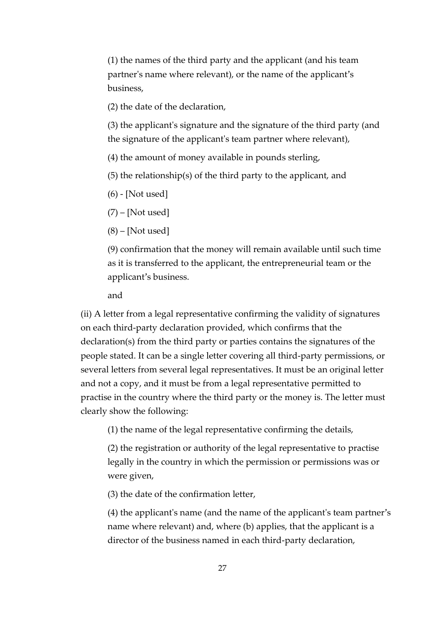(1) the names of the third party and the applicant (and his team partner's name where relevant), or the name of the applicant's business,

(2) the date of the declaration,

(3) the applicant's signature and the signature of the third party (and the signature of the applicant's team partner where relevant),

(4) the amount of money available in pounds sterling,

(5) the relationship(s) of the third party to the applicant, and

(6) - [Not used]

 $(7)$  – [Not used]

 $(8)$  – [Not used]

(9) confirmation that the money will remain available until such time as it is transferred to the applicant, the entrepreneurial team or the applicant's business.

and

(ii) A letter from a legal representative confirming the validity of signatures on each third-party declaration provided, which confirms that the declaration(s) from the third party or parties contains the signatures of the people stated. It can be a single letter covering all third-party permissions, or several letters from several legal representatives. It must be an original letter and not a copy, and it must be from a legal representative permitted to practise in the country where the third party or the money is. The letter must clearly show the following:

(1) the name of the legal representative confirming the details,

(2) the registration or authority of the legal representative to practise legally in the country in which the permission or permissions was or were given,

(3) the date of the confirmation letter,

(4) the applicant's name (and the name of the applicant's team partner's name where relevant) and, where (b) applies, that the applicant is a director of the business named in each third-party declaration,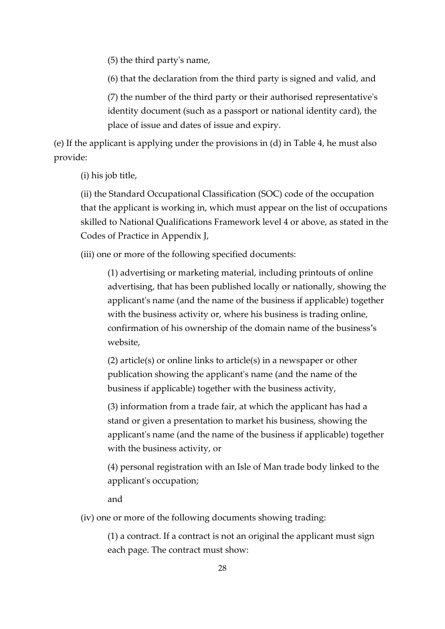(5) the third party's name,

(6) that the declaration from the third party is signed and valid, and

(7) the number of the third party or their authorised representative's identity document (such as a passport or national identity card), the place of issue and dates of issue and expiry.

(e) If the applicant is applying under the provisions in (d) in Table 4, he must also provide:

(i) his job title,

(ii) the Standard Occupational Classification (SOC) code of the occupation that the applicant is working in, which must appear on the list of occupations skilled to National Qualifications Framework level 4 or above, as stated in the Codes of Practice in Appendix J,

(iii) one or more of the following specified documents:

(1) advertising or marketing material, including printouts of online advertising, that has been published locally or nationally, showing the applicant's name (and the name of the business if applicable) together with the business activity or, where his business is trading online, confirmation of his ownership of the domain name of the business's website,

(2) article(s) or online links to article(s) in a newspaper or other publication showing the applicant's name (and the name of the business if applicable) together with the business activity,

(3) information from a trade fair, at which the applicant has had a stand or given a presentation to market his business, showing the applicant's name (and the name of the business if applicable) together with the business activity, or

(4) personal registration with an Isle of Man trade body linked to the applicant's occupation;

and

(iv) one or more of the following documents showing trading:

(1) a contract. If a contract is not an original the applicant must sign each page. The contract must show: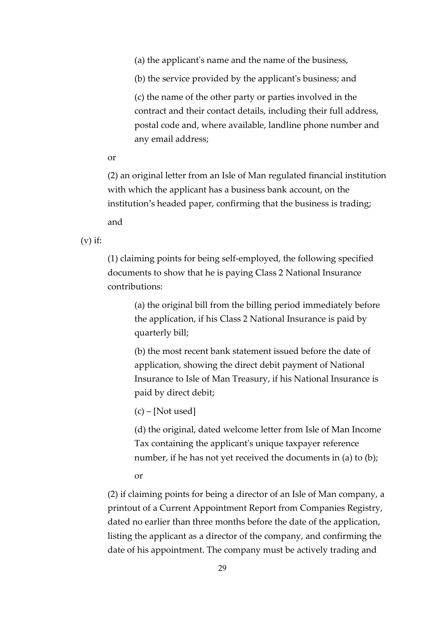(a) the applicant's name and the name of the business,

(b) the service provided by the applicant's business; and

(c) the name of the other party or parties involved in the contract and their contact details, including their full address, postal code and, where available, landline phone number and any email address;

or

(2) an original letter from an Isle of Man regulated financial institution with which the applicant has a business bank account, on the institution's headed paper, confirming that the business is trading; and

 $(v)$  if:

(1) claiming points for being self-employed, the following specified documents to show that he is paying Class 2 National Insurance contributions:

> (a) the original bill from the billing period immediately before the application, if his Class 2 National Insurance is paid by quarterly bill;

> (b) the most recent bank statement issued before the date of application, showing the direct debit payment of National Insurance to Isle of Man Treasury, if his National Insurance is paid by direct debit;

(c) – [Not used]

(d) the original, dated welcome letter from Isle of Man Income Tax containing the applicant's unique taxpayer reference number, if he has not yet received the documents in (a) to (b);

or

(2) if claiming points for being a director of an Isle of Man company, a printout of a Current Appointment Report from Companies Registry, dated no earlier than three months before the date of the application, listing the applicant as a director of the company, and confirming the date of his appointment. The company must be actively trading and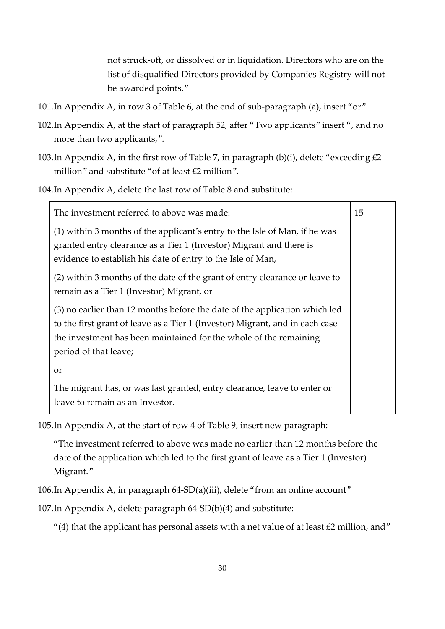not struck-off, or dissolved or in liquidation. Directors who are on the list of disqualified Directors provided by Companies Registry will not be awarded points."

- 101.In Appendix A, in row 3 of Table 6, at the end of sub-paragraph (a), insert "or".
- 102.In Appendix A, at the start of paragraph 52, after "Two applicants" insert ", and no more than two applicants,".
- 103.In Appendix A, in the first row of Table 7, in paragraph (b)(i), delete "exceeding  $£2$ million" and substitute "of at least £2 million".
- 104.In Appendix A, delete the last row of Table 8 and substitute:

| The investment referred to above was made:                                                                                                                                                                                                               | 15 |
|----------------------------------------------------------------------------------------------------------------------------------------------------------------------------------------------------------------------------------------------------------|----|
| (1) within 3 months of the applicant's entry to the Isle of Man, if he was<br>granted entry clearance as a Tier 1 (Investor) Migrant and there is<br>evidence to establish his date of entry to the Isle of Man,                                         |    |
| (2) within 3 months of the date of the grant of entry clearance or leave to<br>remain as a Tier 1 (Investor) Migrant, or                                                                                                                                 |    |
| (3) no earlier than 12 months before the date of the application which led<br>to the first grant of leave as a Tier 1 (Investor) Migrant, and in each case<br>the investment has been maintained for the whole of the remaining<br>period of that leave; |    |
| <b>or</b><br>The migrant has, or was last granted, entry clearance, leave to enter or<br>leave to remain as an Investor.                                                                                                                                 |    |

105.In Appendix A, at the start of row 4 of Table 9, insert new paragraph:

"The investment referred to above was made no earlier than 12 months before the date of the application which led to the first grant of leave as a Tier 1 (Investor) Migrant."

106.In Appendix A, in paragraph 64-SD(a)(iii), delete "from an online account"

107.In Appendix A, delete paragraph 64-SD(b)(4) and substitute:

"(4) that the applicant has personal assets with a net value of at least  $£2$  million, and"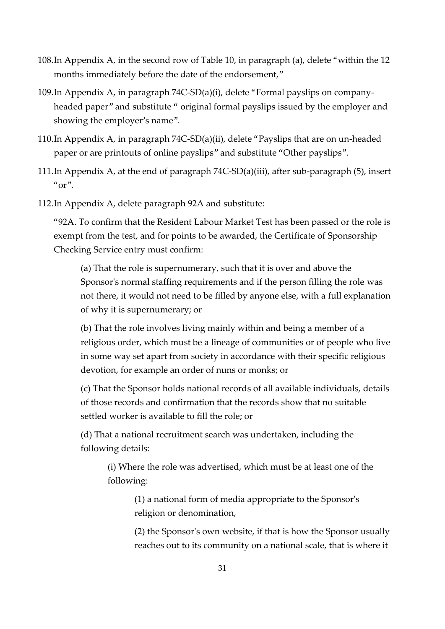- 108.In Appendix A, in the second row of Table 10, in paragraph (a), delete "within the 12 months immediately before the date of the endorsement,"
- 109.In Appendix A, in paragraph 74C-SD(a)(i), delete "Formal payslips on companyheaded paper" and substitute " original formal payslips issued by the employer and showing the employer's name".
- 110.In Appendix A, in paragraph 74C-SD(a)(ii), delete "Payslips that are on un-headed paper or are printouts of online payslips" and substitute "Other payslips".
- 111.In Appendix A, at the end of paragraph 74C-SD(a)(iii), after sub-paragraph (5), insert  $"or"$ .
- 112.In Appendix A, delete paragraph 92A and substitute:

"92A. To confirm that the Resident Labour Market Test has been passed or the role is exempt from the test, and for points to be awarded, the Certificate of Sponsorship Checking Service entry must confirm:

(a) That the role is supernumerary, such that it is over and above the Sponsor's normal staffing requirements and if the person filling the role was not there, it would not need to be filled by anyone else, with a full explanation of why it is supernumerary; or

(b) That the role involves living mainly within and being a member of a religious order, which must be a lineage of communities or of people who live in some way set apart from society in accordance with their specific religious devotion, for example an order of nuns or monks; or

(c) That the Sponsor holds national records of all available individuals, details of those records and confirmation that the records show that no suitable settled worker is available to fill the role; or

(d) That a national recruitment search was undertaken, including the following details:

(i) Where the role was advertised, which must be at least one of the following:

> (1) a national form of media appropriate to the Sponsor's religion or denomination,

(2) the Sponsor's own website, if that is how the Sponsor usually reaches out to its community on a national scale, that is where it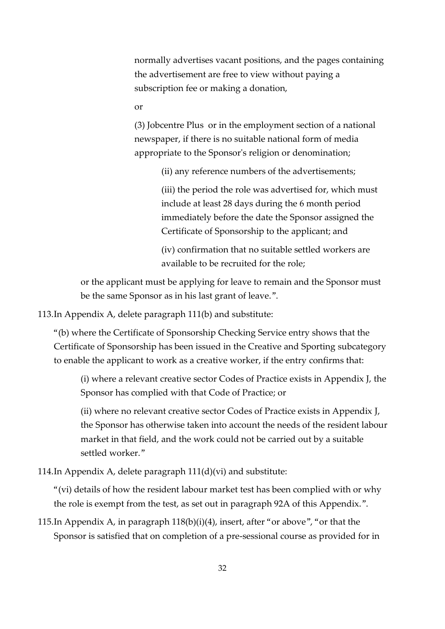normally advertises vacant positions, and the pages containing the advertisement are free to view without paying a subscription fee or making a donation,

or

(3) Jobcentre Plus or in the employment section of a national newspaper, if there is no suitable national form of media appropriate to the Sponsor's religion or denomination;

(ii) any reference numbers of the advertisements;

(iii) the period the role was advertised for, which must include at least 28 days during the 6 month period immediately before the date the Sponsor assigned the Certificate of Sponsorship to the applicant; and

(iv) confirmation that no suitable settled workers are available to be recruited for the role;

or the applicant must be applying for leave to remain and the Sponsor must be the same Sponsor as in his last grant of leave.".

113.In Appendix A, delete paragraph 111(b) and substitute:

"(b) where the Certificate of Sponsorship Checking Service entry shows that the Certificate of Sponsorship has been issued in the Creative and Sporting subcategory to enable the applicant to work as a creative worker, if the entry confirms that:

(i) where a relevant creative sector Codes of Practice exists in Appendix J, the Sponsor has complied with that Code of Practice; or

(ii) where no relevant creative sector Codes of Practice exists in Appendix J, the Sponsor has otherwise taken into account the needs of the resident labour market in that field, and the work could not be carried out by a suitable settled worker."

114.In Appendix A, delete paragraph 111(d)(vi) and substitute:

"(vi) details of how the resident labour market test has been complied with or why the role is exempt from the test, as set out in paragraph 92A of this Appendix.".

115.In Appendix A, in paragraph 118(b)(i)(4), insert, after "or above", "or that the Sponsor is satisfied that on completion of a pre-sessional course as provided for in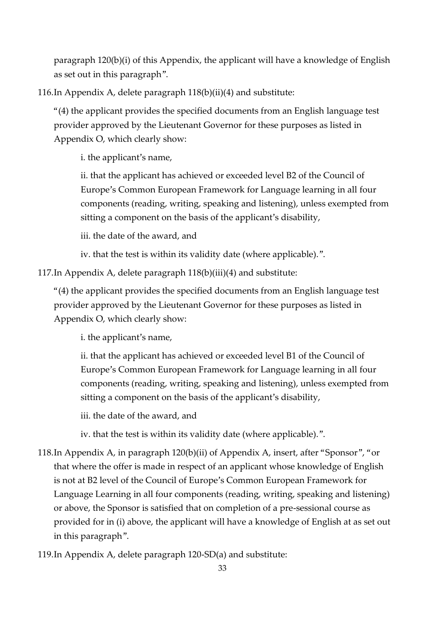paragraph 120(b)(i) of this Appendix, the applicant will have a knowledge of English as set out in this paragraph".

116.In Appendix A, delete paragraph 118(b)(ii)(4) and substitute:

"(4) the applicant provides the specified documents from an English language test provider approved by the Lieutenant Governor for these purposes as listed in Appendix O, which clearly show:

i. the applicant's name,

ii. that the applicant has achieved or exceeded level B2 of the Council of Europe's Common European Framework for Language learning in all four components (reading, writing, speaking and listening), unless exempted from sitting a component on the basis of the applicant's disability,

iii. the date of the award, and

iv. that the test is within its validity date (where applicable).".

117.In Appendix A, delete paragraph 118(b)(iii)(4) and substitute:

"(4) the applicant provides the specified documents from an English language test provider approved by the Lieutenant Governor for these purposes as listed in Appendix O, which clearly show:

i. the applicant's name,

ii. that the applicant has achieved or exceeded level B1 of the Council of Europe's Common European Framework for Language learning in all four components (reading, writing, speaking and listening), unless exempted from sitting a component on the basis of the applicant's disability,

iii. the date of the award, and

iv. that the test is within its validity date (where applicable).".

- 118.In Appendix A, in paragraph 120(b)(ii) of Appendix A, insert, after "Sponsor", "or that where the offer is made in respect of an applicant whose knowledge of English is not at B2 level of the Council of Europe's Common European Framework for Language Learning in all four components (reading, writing, speaking and listening) or above, the Sponsor is satisfied that on completion of a pre-sessional course as provided for in (i) above, the applicant will have a knowledge of English at as set out in this paragraph".
- 119.In Appendix A, delete paragraph 120-SD(a) and substitute: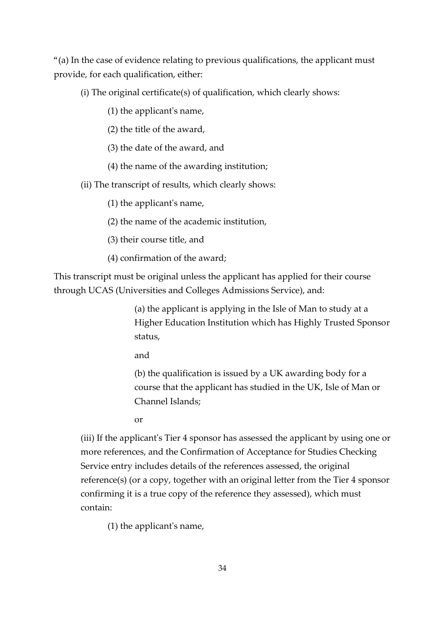"(a) In the case of evidence relating to previous qualifications, the applicant must provide, for each qualification, either:

(i) The original certificate(s) of qualification, which clearly shows:

(1) the applicant's name,

(2) the title of the award,

(3) the date of the award, and

(4) the name of the awarding institution;

(ii) The transcript of results, which clearly shows:

(1) the applicant's name,

(2) the name of the academic institution,

(3) their course title, and

(4) confirmation of the award;

This transcript must be original unless the applicant has applied for their course through UCAS (Universities and Colleges Admissions Service), and:

> (a) the applicant is applying in the Isle of Man to study at a Higher Education Institution which has Highly Trusted Sponsor status,

and

(b) the qualification is issued by a UK awarding body for a course that the applicant has studied in the UK, Isle of Man or Channel Islands;

or

(iii) If the applicant's Tier 4 sponsor has assessed the applicant by using one or more references, and the Confirmation of Acceptance for Studies Checking Service entry includes details of the references assessed, the original reference(s) (or a copy, together with an original letter from the Tier 4 sponsor confirming it is a true copy of the reference they assessed), which must contain:

(1) the applicant's name,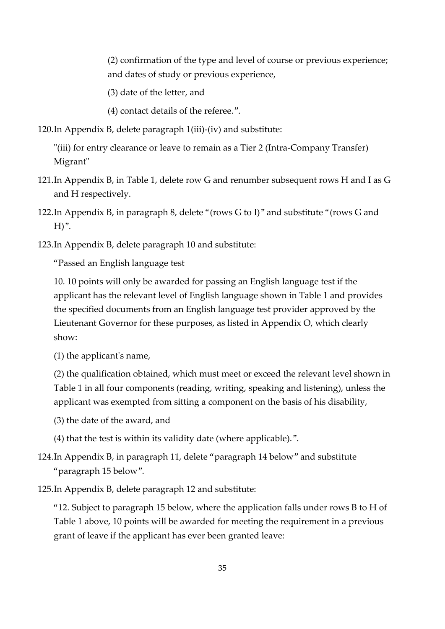(2) confirmation of the type and level of course or previous experience; and dates of study or previous experience,

(3) date of the letter, and

(4) contact details of the referee.".

120.In Appendix B, delete paragraph 1(iii)-(iv) and substitute:

"(iii) for entry clearance or leave to remain as a Tier 2 (Intra-Company Transfer) Migrant"

- 121.In Appendix B, in Table 1, delete row G and renumber subsequent rows H and I as G and H respectively.
- 122.In Appendix B, in paragraph 8, delete "(rows G to I)" and substitute "(rows G and  $H$ ".
- 123.In Appendix B, delete paragraph 10 and substitute:

"Passed an English language test

10. 10 points will only be awarded for passing an English language test if the applicant has the relevant level of English language shown in Table 1 and provides the specified documents from an English language test provider approved by the Lieutenant Governor for these purposes, as listed in Appendix O, which clearly show:

(1) the applicant's name,

(2) the qualification obtained, which must meet or exceed the relevant level shown in Table 1 in all four components (reading, writing, speaking and listening), unless the applicant was exempted from sitting a component on the basis of his disability,

(3) the date of the award, and

(4) that the test is within its validity date (where applicable).".

124.In Appendix B, in paragraph 11, delete "paragraph 14 below" and substitute "paragraph 15 below".

125.In Appendix B, delete paragraph 12 and substitute:

"12. Subject to paragraph 15 below, where the application falls under rows B to H of Table 1 above, 10 points will be awarded for meeting the requirement in a previous grant of leave if the applicant has ever been granted leave: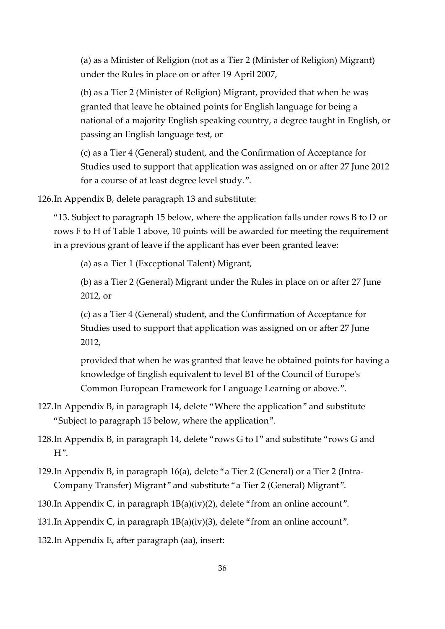(a) as a Minister of Religion (not as a Tier 2 (Minister of Religion) Migrant) under the Rules in place on or after 19 April 2007,

(b) as a Tier 2 (Minister of Religion) Migrant, provided that when he was granted that leave he obtained points for English language for being a national of a majority English speaking country, a degree taught in English, or passing an English language test, or

(c) as a Tier 4 (General) student, and the Confirmation of Acceptance for Studies used to support that application was assigned on or after 27 June 2012 for a course of at least degree level study.".

126.In Appendix B, delete paragraph 13 and substitute:

"13. Subject to paragraph 15 below, where the application falls under rows B to D or rows F to H of Table 1 above, 10 points will be awarded for meeting the requirement in a previous grant of leave if the applicant has ever been granted leave:

(a) as a Tier 1 (Exceptional Talent) Migrant,

(b) as a Tier 2 (General) Migrant under the Rules in place on or after 27 June 2012, or

(c) as a Tier 4 (General) student, and the Confirmation of Acceptance for Studies used to support that application was assigned on or after 27 June 2012,

provided that when he was granted that leave he obtained points for having a knowledge of English equivalent to level B1 of the Council of Europe's Common European Framework for Language Learning or above.".

127.In Appendix B, in paragraph 14, delete "Where the application" and substitute "Subject to paragraph 15 below, where the application".

128.In Appendix B, in paragraph 14, delete "rows G to I" and substitute "rows G and H".

129.In Appendix B, in paragraph 16(a), delete "a Tier 2 (General) or a Tier 2 (Intra-Company Transfer) Migrant" and substitute "a Tier 2 (General) Migrant".

130.In Appendix C, in paragraph 1B(a)(iv)(2), delete "from an online account".

131.In Appendix C, in paragraph 1B(a)(iv)(3), delete "from an online account".

132.In Appendix E, after paragraph (aa), insert: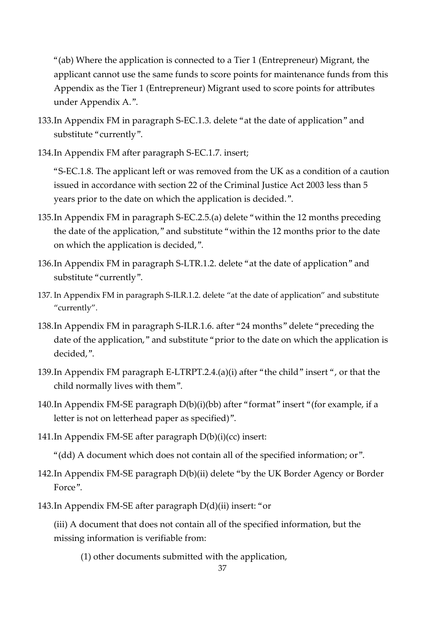"(ab) Where the application is connected to a Tier 1 (Entrepreneur) Migrant, the applicant cannot use the same funds to score points for maintenance funds from this Appendix as the Tier 1 (Entrepreneur) Migrant used to score points for attributes under Appendix A.".

- 133.In Appendix FM in paragraph S-EC.1.3. delete "at the date of application" and substitute "currently".
- 134.In Appendix FM after paragraph S-EC.1.7. insert;

"S-EC.1.8. The applicant left or was removed from the UK as a condition of a caution issued in accordance with section 22 of the Criminal Justice Act 2003 less than 5 years prior to the date on which the application is decided.".

- 135.In Appendix FM in paragraph S-EC.2.5.(a) delete "within the 12 months preceding the date of the application," and substitute "within the 12 months prior to the date on which the application is decided,".
- 136.In Appendix FM in paragraph S-LTR.1.2. delete "at the date of application" and substitute "currently".
- 137. In Appendix FM in paragraph S-ILR.1.2. delete "at the date of application" and substitute "currently".
- 138.In Appendix FM in paragraph S-ILR.1.6. after "24 months" delete "preceding the date of the application," and substitute "prior to the date on which the application is decided,".
- 139.In Appendix FM paragraph E-LTRPT.2.4.(a)(i) after "the child" insert ", or that the child normally lives with them".
- 140.In Appendix FM-SE paragraph D(b)(i)(bb) after "format" insert "(for example, if a letter is not on letterhead paper as specified)".
- 141.In Appendix FM-SE after paragraph D(b)(i)(cc) insert:
	- "(dd) A document which does not contain all of the specified information; or".
- 142.In Appendix FM-SE paragraph D(b)(ii) delete "by the UK Border Agency or Border Force".
- 143.In Appendix FM-SE after paragraph D(d)(ii) insert: "or

(iii) A document that does not contain all of the specified information, but the missing information is verifiable from:

(1) other documents submitted with the application,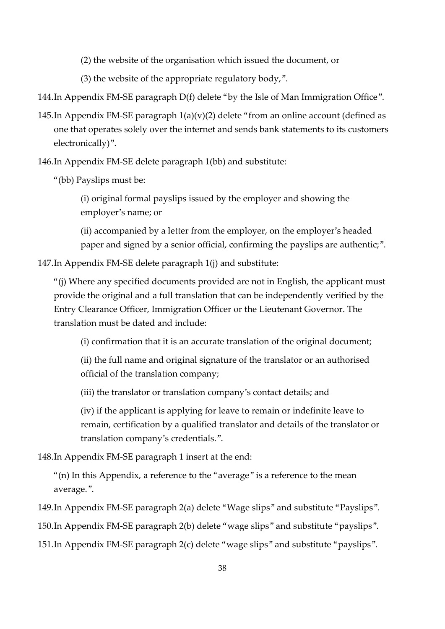(2) the website of the organisation which issued the document, or

(3) the website of the appropriate regulatory body,".

144.In Appendix FM-SE paragraph D(f) delete "by the Isle of Man Immigration Office".

145.In Appendix FM-SE paragraph  $1(a)(v)(2)$  delete "from an online account (defined as one that operates solely over the internet and sends bank statements to its customers electronically)".

146.In Appendix FM-SE delete paragraph 1(bb) and substitute:

"(bb) Payslips must be:

(i) original formal payslips issued by the employer and showing the employer's name; or

(ii) accompanied by a letter from the employer, on the employer's headed paper and signed by a senior official, confirming the payslips are authentic;".

147.In Appendix FM-SE delete paragraph 1(j) and substitute:

"(j) Where any specified documents provided are not in English, the applicant must provide the original and a full translation that can be independently verified by the Entry Clearance Officer, Immigration Officer or the Lieutenant Governor. The translation must be dated and include:

(i) confirmation that it is an accurate translation of the original document;

(ii) the full name and original signature of the translator or an authorised official of the translation company;

(iii) the translator or translation company's contact details; and

(iv) if the applicant is applying for leave to remain or indefinite leave to remain, certification by a qualified translator and details of the translator or translation company's credentials.".

148.In Appendix FM-SE paragraph 1 insert at the end:

"(n) In this Appendix, a reference to the "average" is a reference to the mean average.".

149.In Appendix FM-SE paragraph 2(a) delete "Wage slips" and substitute "Payslips". 150.In Appendix FM-SE paragraph 2(b) delete "wage slips" and substitute "payslips".

151.In Appendix FM-SE paragraph 2(c) delete "wage slips" and substitute "payslips".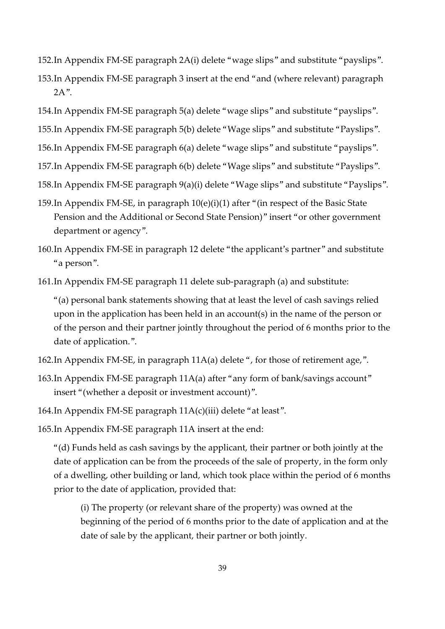- 152.In Appendix FM-SE paragraph 2A(i) delete "wage slips" and substitute "payslips".
- 153.In Appendix FM-SE paragraph 3 insert at the end "and (where relevant) paragraph 2A".
- 154.In Appendix FM-SE paragraph 5(a) delete "wage slips" and substitute "payslips".
- 155.In Appendix FM-SE paragraph 5(b) delete "Wage slips" and substitute "Payslips".
- 156.In Appendix FM-SE paragraph 6(a) delete "wage slips" and substitute "payslips".
- 157.In Appendix FM-SE paragraph 6(b) delete "Wage slips" and substitute "Payslips".
- 158.In Appendix FM-SE paragraph 9(a)(i) delete "Wage slips" and substitute "Payslips".
- 159.In Appendix FM-SE, in paragraph 10(e)(i)(1) after "(in respect of the Basic State Pension and the Additional or Second State Pension)" insert "or other government department or agency".
- 160.In Appendix FM-SE in paragraph 12 delete "the applicant's partner" and substitute "a person".
- 161.In Appendix FM-SE paragraph 11 delete sub-paragraph (a) and substitute:

"(a) personal bank statements showing that at least the level of cash savings relied upon in the application has been held in an account(s) in the name of the person or of the person and their partner jointly throughout the period of 6 months prior to the date of application.".

- 162.In Appendix FM-SE, in paragraph 11A(a) delete ", for those of retirement age,".
- 163.In Appendix FM-SE paragraph 11A(a) after "any form of bank/savings account" insert "(whether a deposit or investment account)".
- 164.In Appendix FM-SE paragraph 11A(c)(iii) delete "at least".
- 165.In Appendix FM-SE paragraph 11A insert at the end:

"(d) Funds held as cash savings by the applicant, their partner or both jointly at the date of application can be from the proceeds of the sale of property, in the form only of a dwelling, other building or land, which took place within the period of 6 months prior to the date of application, provided that:

(i) The property (or relevant share of the property) was owned at the beginning of the period of 6 months prior to the date of application and at the date of sale by the applicant, their partner or both jointly.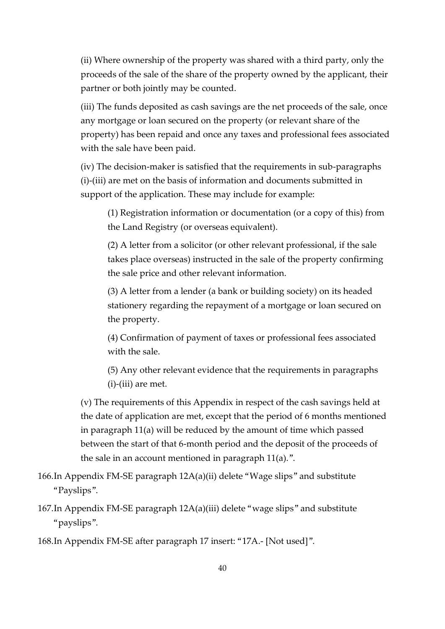(ii) Where ownership of the property was shared with a third party, only the proceeds of the sale of the share of the property owned by the applicant, their partner or both jointly may be counted.

(iii) The funds deposited as cash savings are the net proceeds of the sale, once any mortgage or loan secured on the property (or relevant share of the property) has been repaid and once any taxes and professional fees associated with the sale have been paid.

(iv) The decision-maker is satisfied that the requirements in sub-paragraphs (i)-(iii) are met on the basis of information and documents submitted in support of the application. These may include for example:

(1) Registration information or documentation (or a copy of this) from the Land Registry (or overseas equivalent).

(2) A letter from a solicitor (or other relevant professional, if the sale takes place overseas) instructed in the sale of the property confirming the sale price and other relevant information.

(3) A letter from a lender (a bank or building society) on its headed stationery regarding the repayment of a mortgage or loan secured on the property.

(4) Confirmation of payment of taxes or professional fees associated with the sale.

(5) Any other relevant evidence that the requirements in paragraphs (i)-(iii) are met.

(v) The requirements of this Appendix in respect of the cash savings held at the date of application are met, except that the period of 6 months mentioned in paragraph 11(a) will be reduced by the amount of time which passed between the start of that 6-month period and the deposit of the proceeds of the sale in an account mentioned in paragraph 11(a).".

- 166.In Appendix FM-SE paragraph 12A(a)(ii) delete "Wage slips" and substitute "Payslips".
- 167.In Appendix FM-SE paragraph 12A(a)(iii) delete "wage slips" and substitute "payslips".

168.In Appendix FM-SE after paragraph 17 insert: "17A.- [Not used]".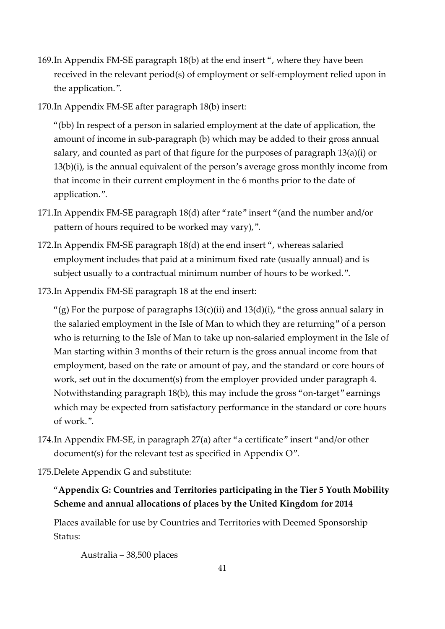- 169.In Appendix FM-SE paragraph 18(b) at the end insert ", where they have been received in the relevant period(s) of employment or self-employment relied upon in the application.".
- 170.In Appendix FM-SE after paragraph 18(b) insert:

"(bb) In respect of a person in salaried employment at the date of application, the amount of income in sub-paragraph (b) which may be added to their gross annual salary, and counted as part of that figure for the purposes of paragraph 13(a)(i) or 13(b)(i), is the annual equivalent of the person's average gross monthly income from that income in their current employment in the 6 months prior to the date of application.".

- 171.In Appendix FM-SE paragraph 18(d) after "rate" insert "(and the number and/or pattern of hours required to be worked may vary),".
- 172.In Appendix FM-SE paragraph 18(d) at the end insert ", whereas salaried employment includes that paid at a minimum fixed rate (usually annual) and is subject usually to a contractual minimum number of hours to be worked.".
- 173.In Appendix FM-SE paragraph 18 at the end insert:

"(g) For the purpose of paragraphs  $13(c)(ii)$  and  $13(d)(i)$ , "the gross annual salary in the salaried employment in the Isle of Man to which they are returning" of a person who is returning to the Isle of Man to take up non-salaried employment in the Isle of Man starting within 3 months of their return is the gross annual income from that employment, based on the rate or amount of pay, and the standard or core hours of work, set out in the document(s) from the employer provided under paragraph 4. Notwithstanding paragraph 18(b), this may include the gross "on-target" earnings which may be expected from satisfactory performance in the standard or core hours of work.".

- 174.In Appendix FM-SE, in paragraph 27(a) after "a certificate" insert "and/or other document(s) for the relevant test as specified in Appendix O".
- 175.Delete Appendix G and substitute:

## "**Appendix G: Countries and Territories participating in the Tier 5 Youth Mobility Scheme and annual allocations of places by the United Kingdom for 2014**

Places available for use by Countries and Territories with Deemed Sponsorship Status:

Australia – 38,500 places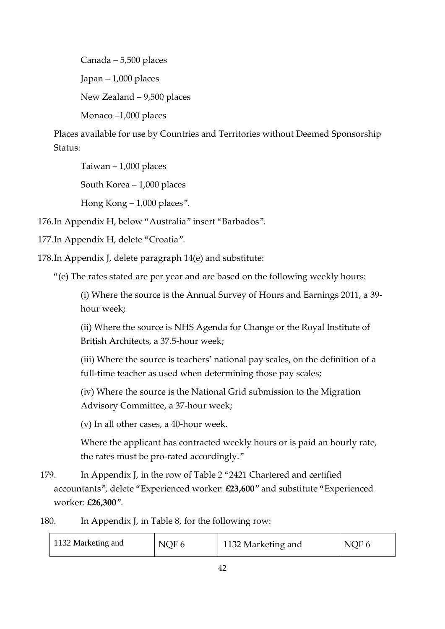Canada – 5,500 places Japan – 1,000 places New Zealand – 9,500 places Monaco –1,000 places

Places available for use by Countries and Territories without Deemed Sponsorship Status:

Taiwan – 1,000 places

South Korea – 1,000 places

Hong Kong – 1,000 places".

176.In Appendix H, below "Australia" insert "Barbados".

177.In Appendix H, delete "Croatia".

178.In Appendix J, delete paragraph 14(e) and substitute:

"(e) The rates stated are per year and are based on the following weekly hours:

(i) Where the source is the Annual Survey of Hours and Earnings 2011, a 39 hour week;

(ii) Where the source is NHS Agenda for Change or the Royal Institute of British Architects, a 37.5-hour week;

(iii) Where the source is teachers' national pay scales, on the definition of a full-time teacher as used when determining those pay scales;

(iv) Where the source is the National Grid submission to the Migration Advisory Committee, a 37-hour week;

(v) In all other cases, a 40-hour week.

Where the applicant has contracted weekly hours or is paid an hourly rate, the rates must be pro-rated accordingly."

179. In Appendix J, in the row of Table 2 "2421 Chartered and certified accountants", delete "Experienced worker: **£23,600**" and substitute "Experienced worker: **£26,300**".

180. In Appendix J, in Table 8, for the following row:

| 1132 Marketing and | NQF 6 | 1132 Marketing and | NQF 6 |
|--------------------|-------|--------------------|-------|
|--------------------|-------|--------------------|-------|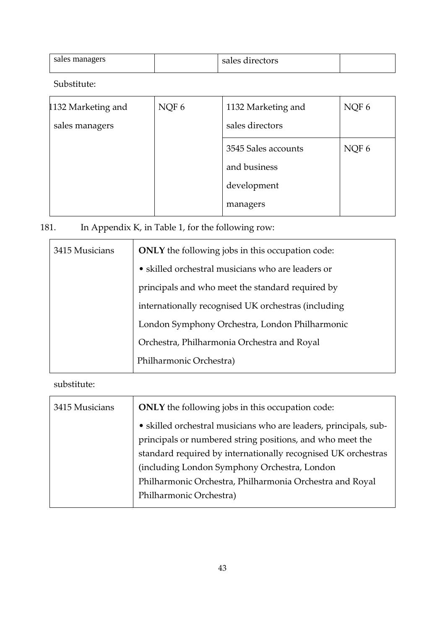| sales managers | sales directors |  |
|----------------|-----------------|--|
|                |                 |  |

Substitute:

| 1132 Marketing and | NQF 6 | 1132 Marketing and  | NQF 6 |
|--------------------|-------|---------------------|-------|
| sales managers     |       | sales directors     |       |
|                    |       | 3545 Sales accounts | NQF 6 |
|                    |       | and business        |       |
|                    |       | development         |       |
|                    |       | managers            |       |

# 181. In Appendix K, in Table 1, for the following row:

| 3415 Musicians | <b>ONLY</b> the following jobs in this occupation code: |  |
|----------------|---------------------------------------------------------|--|
|                | • skilled orchestral musicians who are leaders or       |  |
|                | principals and who meet the standard required by        |  |
|                | internationally recognised UK orchestras (including     |  |
|                | London Symphony Orchestra, London Philharmonic          |  |
|                | Orchestra, Philharmonia Orchestra and Royal             |  |
|                | Philharmonic Orchestra)                                 |  |

## substitute:

| 3415 Musicians | <b>ONLY</b> the following jobs in this occupation code:          |  |  |
|----------------|------------------------------------------------------------------|--|--|
|                | · skilled orchestral musicians who are leaders, principals, sub- |  |  |
|                | principals or numbered string positions, and who meet the        |  |  |
|                | standard required by internationally recognised UK orchestras    |  |  |
|                | (including London Symphony Orchestra, London                     |  |  |
|                | Philharmonic Orchestra, Philharmonia Orchestra and Royal         |  |  |
|                | Philharmonic Orchestra)                                          |  |  |
|                |                                                                  |  |  |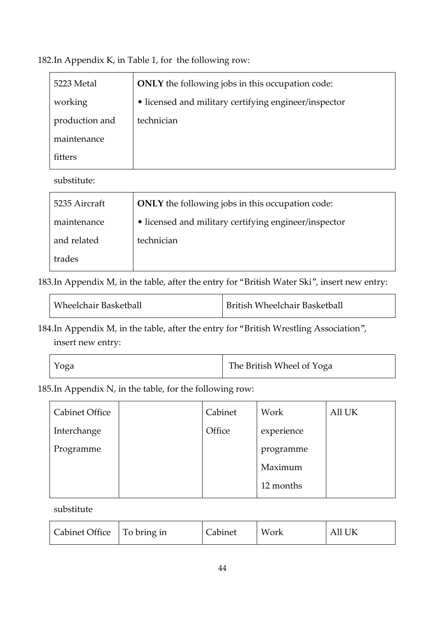182.In Appendix K, in Table 1, for the following row:

| 5223 Metal     | ONLY the following jobs in this occupation code:      |  |  |
|----------------|-------------------------------------------------------|--|--|
| working        | • licensed and military certifying engineer/inspector |  |  |
| production and | technician                                            |  |  |
| maintenance    |                                                       |  |  |
| fiffers        |                                                       |  |  |

substitute:

| 5235 Aircraft | <b>ONLY</b> the following jobs in this occupation code: |  |
|---------------|---------------------------------------------------------|--|
| maintenance   | • licensed and military certifying engineer/inspector   |  |
| and related   | technician                                              |  |
| trades        |                                                         |  |

183.In Appendix M, in the table, after the entry for "British Water Ski", insert new entry:

| Wheelchair Basketball | <b>British Wheelchair Basketball</b> |
|-----------------------|--------------------------------------|
|                       |                                      |

184.In Appendix M, in the table, after the entry for "British Wrestling Association", insert new entry:

| Yoga | The British Wheel of Yoga |
|------|---------------------------|
|------|---------------------------|

185.In Appendix N, in the table, for the following row:

| <b>Cabinet Office</b> | Cabinet | Work       | All UK |
|-----------------------|---------|------------|--------|
| Interchange           | Office  | experience |        |
| Programme             |         | programme  |        |
|                       |         | Maximum    |        |
|                       |         | 12 months  |        |
|                       |         |            |        |

substitute

| Cabinet Office   To bring in |  | Cabinet | Work | All UK |
|------------------------------|--|---------|------|--------|
|------------------------------|--|---------|------|--------|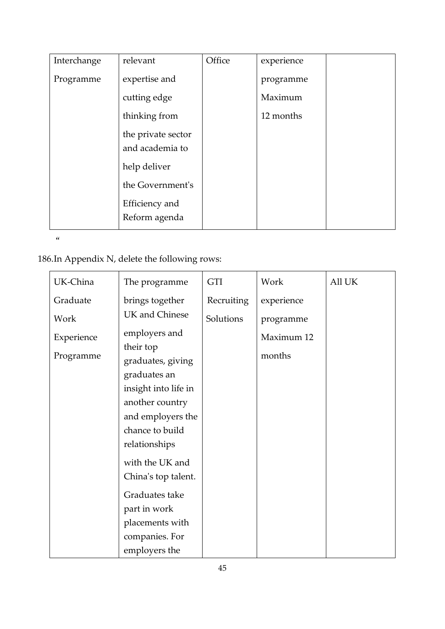| Interchange | relevant           | Office | experience |  |
|-------------|--------------------|--------|------------|--|
| Programme   | expertise and      |        | programme  |  |
|             | cutting edge       |        | Maximum    |  |
|             | thinking from      |        | 12 months  |  |
|             | the private sector |        |            |  |
|             | and academia to    |        |            |  |
|             | help deliver       |        |            |  |
|             | the Government's   |        |            |  |
|             | Efficiency and     |        |            |  |
|             | Reform agenda      |        |            |  |

 $\alpha$ 

# 186.In Appendix N, delete the following rows:

| UK-China   | The programme                  | <b>GTI</b> | Work       | All UK |
|------------|--------------------------------|------------|------------|--------|
| Graduate   | brings together                | Recruiting | experience |        |
| Work       | UK and Chinese                 | Solutions  | programme  |        |
| Experience | employers and                  |            | Maximum 12 |        |
| Programme  | their top<br>graduates, giving |            | months     |        |
|            | graduates an                   |            |            |        |
|            | insight into life in           |            |            |        |
|            | another country                |            |            |        |
|            | and employers the              |            |            |        |
|            | chance to build                |            |            |        |
|            | relationships                  |            |            |        |
|            | with the UK and                |            |            |        |
|            | China's top talent.            |            |            |        |
|            | Graduates take                 |            |            |        |
|            | part in work                   |            |            |        |
|            | placements with                |            |            |        |
|            | companies. For                 |            |            |        |
|            | employers the                  |            |            |        |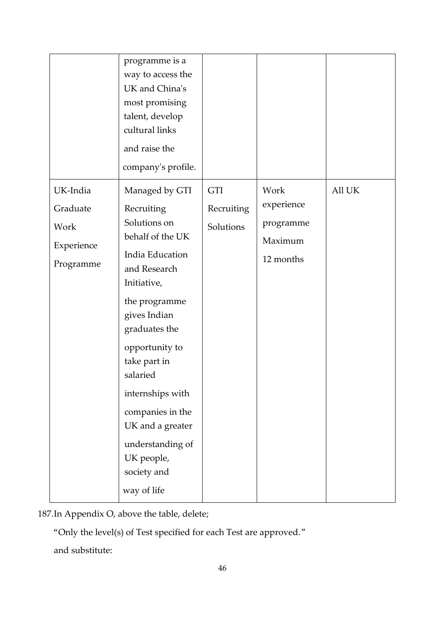|                                                         | programme is a<br>way to access the<br>UK and China's<br>most promising<br>talent, develop<br>cultural links<br>and raise the<br>company's profile.                                                                                                                                                                                            |                                       |                                                         |        |
|---------------------------------------------------------|------------------------------------------------------------------------------------------------------------------------------------------------------------------------------------------------------------------------------------------------------------------------------------------------------------------------------------------------|---------------------------------------|---------------------------------------------------------|--------|
| UK-India<br>Graduate<br>Work<br>Experience<br>Programme | Managed by GTI<br>Recruiting<br>Solutions on<br>behalf of the UK<br>India Education<br>and Research<br>Initiative,<br>the programme<br>gives Indian<br>graduates the<br>opportunity to<br>take part in<br>salaried<br>internships with<br>companies in the<br>UK and a greater<br>understanding of<br>UK people,<br>society and<br>way of life | <b>GTI</b><br>Recruiting<br>Solutions | Work<br>experience<br>programme<br>Maximum<br>12 months | All UK |

187.In Appendix O, above the table, delete;

"Only the level(s) of Test specified for each Test are approved."

and substitute: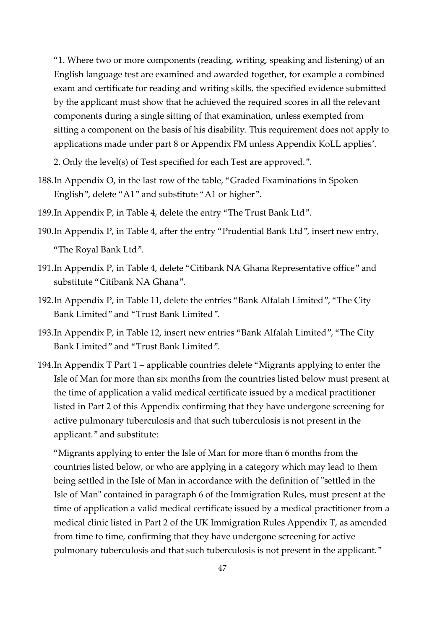"1. Where two or more components (reading, writing, speaking and listening) of an English language test are examined and awarded together, for example a combined exam and certificate for reading and writing skills, the specified evidence submitted by the applicant must show that he achieved the required scores in all the relevant components during a single sitting of that examination, unless exempted from sitting a component on the basis of his disability. This requirement does not apply to applications made under part 8 or Appendix FM unless Appendix KoLL applies'.

2. Only the level(s) of Test specified for each Test are approved.".

- 188.In Appendix O, in the last row of the table, "Graded Examinations in Spoken English", delete "A1" and substitute "A1 or higher".
- 189.In Appendix P, in Table 4, delete the entry "The Trust Bank Ltd".
- 190.In Appendix P, in Table 4, after the entry "Prudential Bank Ltd", insert new entry, "The Royal Bank Ltd".
- 191.In Appendix P, in Table 4, delete "Citibank NA Ghana Representative office" and substitute "Citibank NA Ghana".
- 192.In Appendix P, in Table 11, delete the entries "Bank Alfalah Limited", "The City Bank Limited" and "Trust Bank Limited".
- 193.In Appendix P, in Table 12, insert new entries "Bank Alfalah Limited", "The City Bank Limited" and "Trust Bank Limited".
- 194.In Appendix T Part 1 applicable countries delete "Migrants applying to enter the Isle of Man for more than six months from the countries listed below must present at the time of application a valid medical certificate issued by a medical practitioner listed in Part 2 of this Appendix confirming that they have undergone screening for active pulmonary tuberculosis and that such tuberculosis is not present in the applicant." and substitute:

"Migrants applying to enter the Isle of Man for more than 6 months from the countries listed below, or who are applying in a category which may lead to them being settled in the Isle of Man in accordance with the definition of "settled in the Isle of Man" contained in paragraph 6 of the Immigration Rules, must present at the time of application a valid medical certificate issued by a medical practitioner from a medical clinic listed in Part 2 of the UK Immigration Rules Appendix T, as amended from time to time, confirming that they have undergone screening for active pulmonary tuberculosis and that such tuberculosis is not present in the applicant."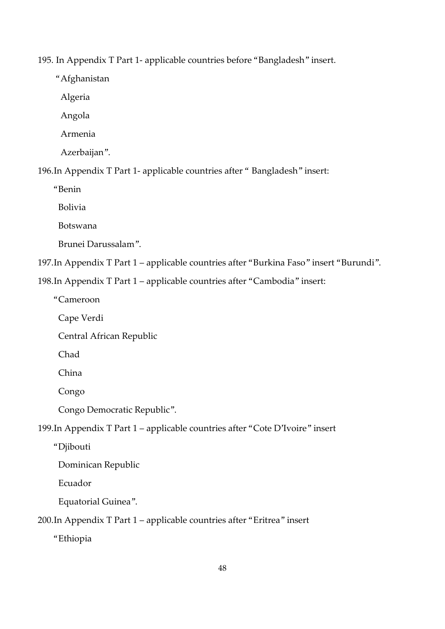195. In Appendix T Part 1- applicable countries before "Bangladesh" insert.

"Afghanistan

Algeria

Angola

Armenia

Azerbaijan".

196.In Appendix T Part 1- applicable countries after " Bangladesh" insert:

"Benin

Bolivia

Botswana

Brunei Darussalam".

197.In Appendix T Part 1 – applicable countries after "Burkina Faso" insert "Burundi".

198.In Appendix T Part 1 – applicable countries after "Cambodia" insert:

"Cameroon

Cape Verdi

Central African Republic

Chad

China

Congo

Congo Democratic Republic".

199.In Appendix T Part 1 – applicable countries after "Cote D'Ivoire" insert

"Djibouti

Dominican Republic

Ecuador

Equatorial Guinea".

200.In Appendix T Part 1 – applicable countries after "Eritrea" insert

"Ethiopia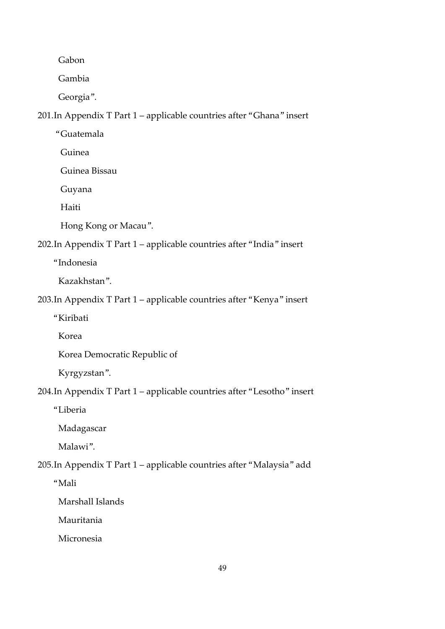Gabon

Gambia

Georgia".

201.In Appendix T Part 1 – applicable countries after "Ghana" insert

"Guatemala

Guinea

Guinea Bissau

Guyana

Haiti

Hong Kong or Macau".

# 202.In Appendix T Part 1 – applicable countries after "India" insert

"Indonesia

Kazakhstan".

203.In Appendix T Part 1 – applicable countries after "Kenya" insert

"Kiribati

Korea

Korea Democratic Republic of

Kyrgyzstan".

204.In Appendix T Part 1 – applicable countries after "Lesotho" insert

"Liberia

Madagascar

Malawi".

205.In Appendix T Part 1 – applicable countries after "Malaysia" add

"Mali

Marshall Islands

Mauritania

Micronesia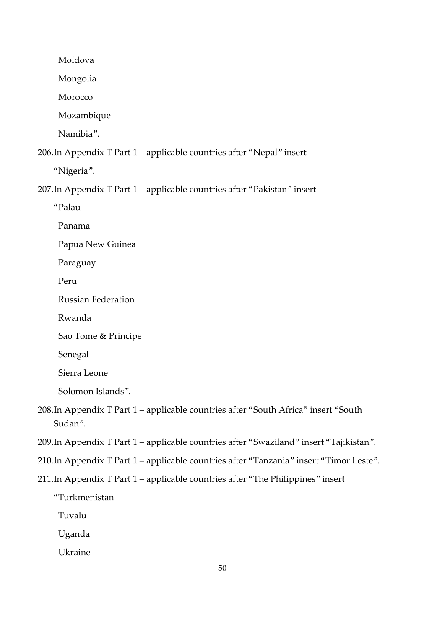Moldova

Mongolia

Morocco

Mozambique

Namibia".

206.In Appendix T Part 1 – applicable countries after "Nepal" insert

"Nigeria".

207.In Appendix T Part 1 – applicable countries after "Pakistan" insert

"Palau

Panama

Papua New Guinea

Paraguay

Peru

Russian Federation

Rwanda

Sao Tome & Principe

Senegal

Sierra Leone

Solomon Islands".

208.In Appendix T Part 1 – applicable countries after "South Africa" insert "South Sudan".

209.In Appendix T Part 1 – applicable countries after "Swaziland" insert "Tajikistan".

210.In Appendix T Part 1 – applicable countries after "Tanzania" insert "Timor Leste".

211.In Appendix T Part 1 – applicable countries after "The Philippines" insert

"Turkmenistan

Tuvalu

Uganda

Ukraine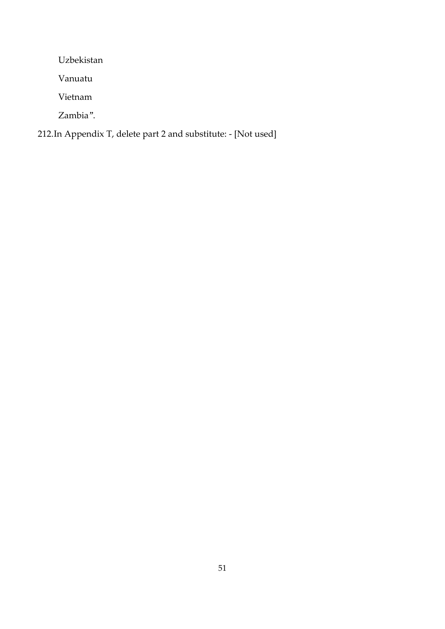Uzbekistan

Vanuatu

Vietnam

Zambia".

# 212.In Appendix T, delete part 2 and substitute: - [Not used]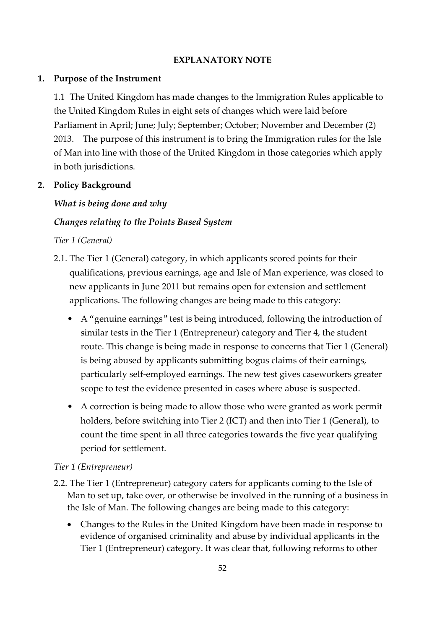#### **EXPLANATORY NOTE**

#### **1. Purpose of the Instrument**

1.1 The United Kingdom has made changes to the Immigration Rules applicable to the United Kingdom Rules in eight sets of changes which were laid before Parliament in April; June; July; September; October; November and December (2) 2013. The purpose of this instrument is to bring the Immigration rules for the Isle of Man into line with those of the United Kingdom in those categories which apply in both jurisdictions.

## **2. Policy Background**

## *What is being done and why*

## *Changes relating to the Points Based System*

#### *Tier 1 (General)*

- 2.1. The Tier 1 (General) category, in which applicants scored points for their qualifications, previous earnings, age and Isle of Man experience, was closed to new applicants in June 2011 but remains open for extension and settlement applications. The following changes are being made to this category:
	- A "genuine earnings" test is being introduced, following the introduction of similar tests in the Tier 1 (Entrepreneur) category and Tier 4, the student route. This change is being made in response to concerns that Tier 1 (General) is being abused by applicants submitting bogus claims of their earnings, particularly self-employed earnings. The new test gives caseworkers greater scope to test the evidence presented in cases where abuse is suspected.
	- A correction is being made to allow those who were granted as work permit holders, before switching into Tier 2 (ICT) and then into Tier 1 (General), to count the time spent in all three categories towards the five year qualifying period for settlement.

## *Tier 1 (Entrepreneur)*

- 2.2. The Tier 1 (Entrepreneur) category caters for applicants coming to the Isle of Man to set up, take over, or otherwise be involved in the running of a business in the Isle of Man. The following changes are being made to this category:
	- Changes to the Rules in the United Kingdom have been made in response to evidence of organised criminality and abuse by individual applicants in the Tier 1 (Entrepreneur) category. It was clear that, following reforms to other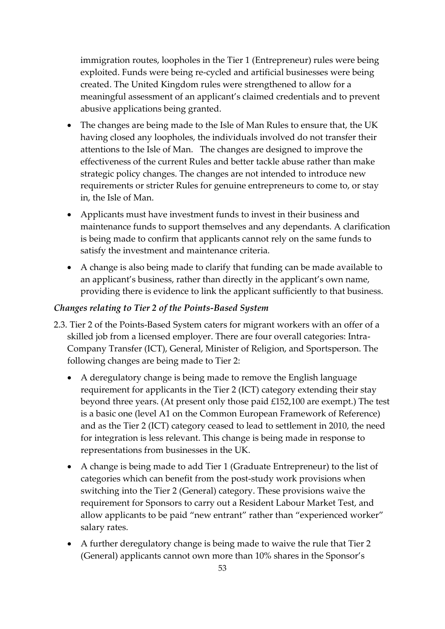immigration routes, loopholes in the Tier 1 (Entrepreneur) rules were being exploited. Funds were being re-cycled and artificial businesses were being created. The United Kingdom rules were strengthened to allow for a meaningful assessment of an applicant's claimed credentials and to prevent abusive applications being granted.

- The changes are being made to the Isle of Man Rules to ensure that, the UK having closed any loopholes, the individuals involved do not transfer their attentions to the Isle of Man. The changes are designed to improve the effectiveness of the current Rules and better tackle abuse rather than make strategic policy changes. The changes are not intended to introduce new requirements or stricter Rules for genuine entrepreneurs to come to, or stay in, the Isle of Man.
- Applicants must have investment funds to invest in their business and maintenance funds to support themselves and any dependants. A clarification is being made to confirm that applicants cannot rely on the same funds to satisfy the investment and maintenance criteria.
- A change is also being made to clarify that funding can be made available to an applicant's business, rather than directly in the applicant's own name, providing there is evidence to link the applicant sufficiently to that business.

## *Changes relating to Tier 2 of the Points-Based System*

- 2.3. Tier 2 of the Points-Based System caters for migrant workers with an offer of a skilled job from a licensed employer. There are four overall categories: Intra-Company Transfer (ICT), General, Minister of Religion, and Sportsperson. The following changes are being made to Tier 2:
	- A deregulatory change is being made to remove the English language requirement for applicants in the Tier 2 (ICT) category extending their stay beyond three years. (At present only those paid £152,100 are exempt.) The test is a basic one (level A1 on the Common European Framework of Reference) and as the Tier 2 (ICT) category ceased to lead to settlement in 2010, the need for integration is less relevant. This change is being made in response to representations from businesses in the UK.
	- A change is being made to add Tier 1 (Graduate Entrepreneur) to the list of categories which can benefit from the post-study work provisions when switching into the Tier 2 (General) category. These provisions waive the requirement for Sponsors to carry out a Resident Labour Market Test, and allow applicants to be paid "new entrant" rather than "experienced worker" salary rates.
	- A further deregulatory change is being made to waive the rule that Tier 2 (General) applicants cannot own more than 10% shares in the Sponsor's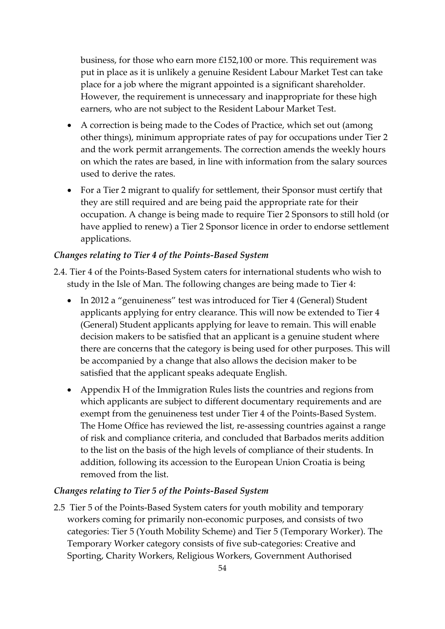business, for those who earn more £152,100 or more. This requirement was put in place as it is unlikely a genuine Resident Labour Market Test can take place for a job where the migrant appointed is a significant shareholder. However, the requirement is unnecessary and inappropriate for these high earners, who are not subject to the Resident Labour Market Test.

- A correction is being made to the Codes of Practice, which set out (among other things), minimum appropriate rates of pay for occupations under Tier 2 and the work permit arrangements. The correction amends the weekly hours on which the rates are based, in line with information from the salary sources used to derive the rates.
- For a Tier 2 migrant to qualify for settlement, their Sponsor must certify that they are still required and are being paid the appropriate rate for their occupation. A change is being made to require Tier 2 Sponsors to still hold (or have applied to renew) a Tier 2 Sponsor licence in order to endorse settlement applications.

#### *Changes relating to Tier 4 of the Points-Based System*

- 2.4. Tier 4 of the Points-Based System caters for international students who wish to study in the Isle of Man. The following changes are being made to Tier 4:
	- In 2012 a "genuineness" test was introduced for Tier 4 (General) Student applicants applying for entry clearance. This will now be extended to Tier 4 (General) Student applicants applying for leave to remain. This will enable decision makers to be satisfied that an applicant is a genuine student where there are concerns that the category is being used for other purposes. This will be accompanied by a change that also allows the decision maker to be satisfied that the applicant speaks adequate English.
	- Appendix H of the Immigration Rules lists the countries and regions from which applicants are subject to different documentary requirements and are exempt from the genuineness test under Tier 4 of the Points-Based System. The Home Office has reviewed the list, re-assessing countries against a range of risk and compliance criteria, and concluded that Barbados merits addition to the list on the basis of the high levels of compliance of their students. In addition, following its accession to the European Union Croatia is being removed from the list.

#### *Changes relating to Tier 5 of the Points-Based System*

2.5 Tier 5 of the Points-Based System caters for youth mobility and temporary workers coming for primarily non-economic purposes, and consists of two categories: Tier 5 (Youth Mobility Scheme) and Tier 5 (Temporary Worker). The Temporary Worker category consists of five sub-categories: Creative and Sporting, Charity Workers, Religious Workers, Government Authorised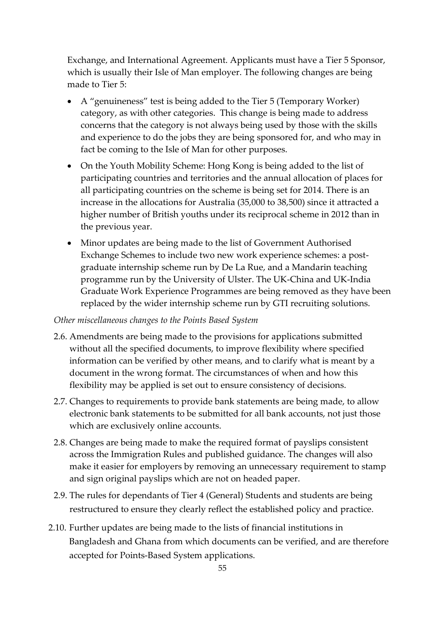Exchange, and International Agreement. Applicants must have a Tier 5 Sponsor, which is usually their Isle of Man employer. The following changes are being made to Tier 5:

- A "genuineness" test is being added to the Tier 5 (Temporary Worker) category, as with other categories. This change is being made to address concerns that the category is not always being used by those with the skills and experience to do the jobs they are being sponsored for, and who may in fact be coming to the Isle of Man for other purposes.
- On the Youth Mobility Scheme: Hong Kong is being added to the list of participating countries and territories and the annual allocation of places for all participating countries on the scheme is being set for 2014. There is an increase in the allocations for Australia (35,000 to 38,500) since it attracted a higher number of British youths under its reciprocal scheme in 2012 than in the previous year.
- Minor updates are being made to the list of Government Authorised Exchange Schemes to include two new work experience schemes: a postgraduate internship scheme run by De La Rue, and a Mandarin teaching programme run by the University of Ulster. The UK-China and UK-India Graduate Work Experience Programmes are being removed as they have been replaced by the wider internship scheme run by GTI recruiting solutions.

#### *Other miscellaneous changes to the Points Based System*

- 2.6. Amendments are being made to the provisions for applications submitted without all the specified documents, to improve flexibility where specified information can be verified by other means, and to clarify what is meant by a document in the wrong format. The circumstances of when and how this flexibility may be applied is set out to ensure consistency of decisions.
- 2.7. Changes to requirements to provide bank statements are being made, to allow electronic bank statements to be submitted for all bank accounts, not just those which are exclusively online accounts.
- 2.8. Changes are being made to make the required format of payslips consistent across the Immigration Rules and published guidance. The changes will also make it easier for employers by removing an unnecessary requirement to stamp and sign original payslips which are not on headed paper.
- 2.9. The rules for dependants of Tier 4 (General) Students and students are being restructured to ensure they clearly reflect the established policy and practice.
- 2.10. Further updates are being made to the lists of financial institutions in Bangladesh and Ghana from which documents can be verified, and are therefore accepted for Points-Based System applications.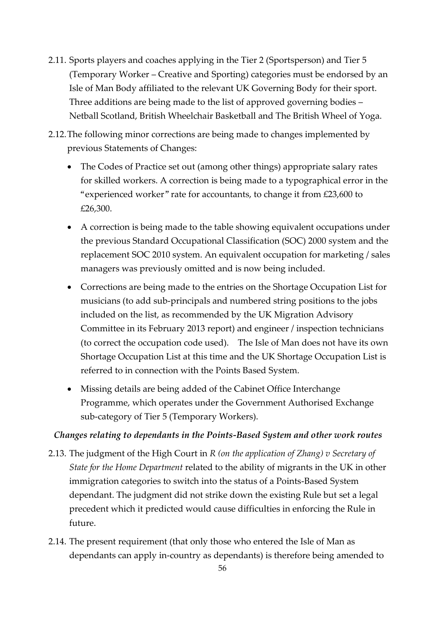- 2.11. Sports players and coaches applying in the Tier 2 (Sportsperson) and Tier 5 (Temporary Worker – Creative and Sporting) categories must be endorsed by an Isle of Man Body affiliated to the relevant UK Governing Body for their sport. Three additions are being made to the list of approved governing bodies – Netball Scotland, British Wheelchair Basketball and The British Wheel of Yoga.
- 2.12.The following minor corrections are being made to changes implemented by previous Statements of Changes:
	- The Codes of Practice set out (among other things) appropriate salary rates for skilled workers. A correction is being made to a typographical error in the "experienced worker" rate for accountants, to change it from £23,600 to £26,300.
	- A correction is being made to the table showing equivalent occupations under the previous Standard Occupational Classification (SOC) 2000 system and the replacement SOC 2010 system. An equivalent occupation for marketing / sales managers was previously omitted and is now being included.
	- Corrections are being made to the entries on the Shortage Occupation List for musicians (to add sub-principals and numbered string positions to the jobs included on the list, as recommended by the UK Migration Advisory Committee in its February 2013 report) and engineer / inspection technicians (to correct the occupation code used). The Isle of Man does not have its own Shortage Occupation List at this time and the UK Shortage Occupation List is referred to in connection with the Points Based System.
	- Missing details are being added of the Cabinet Office Interchange Programme, which operates under the Government Authorised Exchange sub-category of Tier 5 (Temporary Workers).

## *Changes relating to dependants in the Points-Based System and other work routes*

- 2.13. The judgment of the High Court in *R (on the application of Zhang) v Secretary of State for the Home Department* related to the ability of migrants in the UK in other immigration categories to switch into the status of a Points-Based System dependant. The judgment did not strike down the existing Rule but set a legal precedent which it predicted would cause difficulties in enforcing the Rule in future.
- 2.14. The present requirement (that only those who entered the Isle of Man as dependants can apply in-country as dependants) is therefore being amended to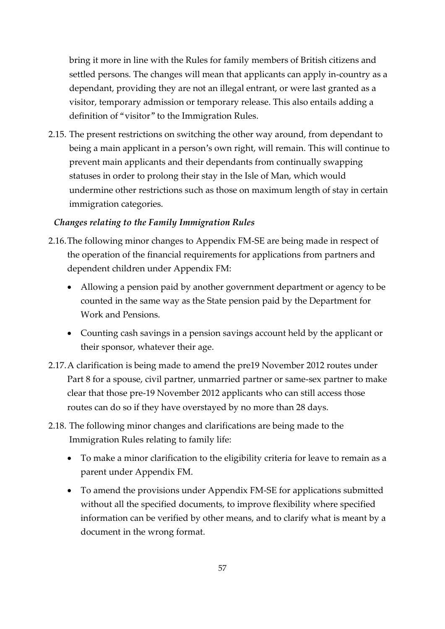bring it more in line with the Rules for family members of British citizens and settled persons. The changes will mean that applicants can apply in-country as a dependant, providing they are not an illegal entrant, or were last granted as a visitor, temporary admission or temporary release. This also entails adding a definition of "visitor" to the Immigration Rules.

2.15. The present restrictions on switching the other way around, from dependant to being a main applicant in a person's own right, will remain. This will continue to prevent main applicants and their dependants from continually swapping statuses in order to prolong their stay in the Isle of Man, which would undermine other restrictions such as those on maximum length of stay in certain immigration categories.

## *Changes relating to the Family Immigration Rules*

- 2.16.The following minor changes to Appendix FM-SE are being made in respect of the operation of the financial requirements for applications from partners and dependent children under Appendix FM:
	- Allowing a pension paid by another government department or agency to be counted in the same way as the State pension paid by the Department for Work and Pensions.
	- Counting cash savings in a pension savings account held by the applicant or their sponsor, whatever their age.
- 2.17.A clarification is being made to amend the pre19 November 2012 routes under Part 8 for a spouse, civil partner, unmarried partner or same-sex partner to make clear that those pre-19 November 2012 applicants who can still access those routes can do so if they have overstayed by no more than 28 days.
- 2.18. The following minor changes and clarifications are being made to the Immigration Rules relating to family life:
	- To make a minor clarification to the eligibility criteria for leave to remain as a parent under Appendix FM.
	- To amend the provisions under Appendix FM-SE for applications submitted without all the specified documents, to improve flexibility where specified information can be verified by other means, and to clarify what is meant by a document in the wrong format.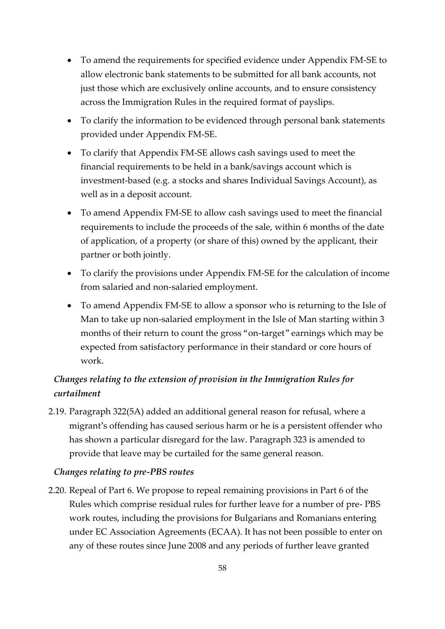- To amend the requirements for specified evidence under Appendix FM-SE to allow electronic bank statements to be submitted for all bank accounts, not just those which are exclusively online accounts, and to ensure consistency across the Immigration Rules in the required format of payslips.
- To clarify the information to be evidenced through personal bank statements provided under Appendix FM-SE.
- To clarify that Appendix FM-SE allows cash savings used to meet the financial requirements to be held in a bank/savings account which is investment-based (e.g. a stocks and shares Individual Savings Account), as well as in a deposit account.
- To amend Appendix FM-SE to allow cash savings used to meet the financial requirements to include the proceeds of the sale, within 6 months of the date of application, of a property (or share of this) owned by the applicant, their partner or both jointly.
- To clarify the provisions under Appendix FM-SE for the calculation of income from salaried and non-salaried employment.
- To amend Appendix FM-SE to allow a sponsor who is returning to the Isle of Man to take up non-salaried employment in the Isle of Man starting within 3 months of their return to count the gross "on-target" earnings which may be expected from satisfactory performance in their standard or core hours of work.

## *Changes relating to the extension of provision in the Immigration Rules for curtailment*

2.19. Paragraph 322(5A) added an additional general reason for refusal, where a migrant's offending has caused serious harm or he is a persistent offender who has shown a particular disregard for the law. Paragraph 323 is amended to provide that leave may be curtailed for the same general reason.

## *Changes relating to pre-PBS routes*

2.20. Repeal of Part 6. We propose to repeal remaining provisions in Part 6 of the Rules which comprise residual rules for further leave for a number of pre- PBS work routes, including the provisions for Bulgarians and Romanians entering under EC Association Agreements (ECAA). It has not been possible to enter on any of these routes since June 2008 and any periods of further leave granted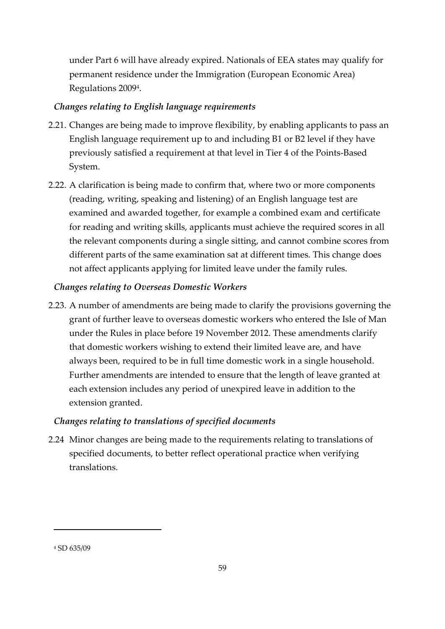under Part 6 will have already expired. Nationals of EEA states may qualify for permanent residence under the Immigration (European Economic Area) Regulations 2009<sup>4</sup> .

## *Changes relating to English language requirements*

- 2.21. Changes are being made to improve flexibility, by enabling applicants to pass an English language requirement up to and including B1 or B2 level if they have previously satisfied a requirement at that level in Tier 4 of the Points-Based System.
- 2.22. A clarification is being made to confirm that, where two or more components (reading, writing, speaking and listening) of an English language test are examined and awarded together, for example a combined exam and certificate for reading and writing skills, applicants must achieve the required scores in all the relevant components during a single sitting, and cannot combine scores from different parts of the same examination sat at different times. This change does not affect applicants applying for limited leave under the family rules.

#### *Changes relating to Overseas Domestic Workers*

2.23. A number of amendments are being made to clarify the provisions governing the grant of further leave to overseas domestic workers who entered the Isle of Man under the Rules in place before 19 November 2012. These amendments clarify that domestic workers wishing to extend their limited leave are, and have always been, required to be in full time domestic work in a single household. Further amendments are intended to ensure that the length of leave granted at each extension includes any period of unexpired leave in addition to the extension granted.

#### *Changes relating to translations of specified documents*

2.24 Minor changes are being made to the requirements relating to translations of specified documents, to better reflect operational practice when verifying translations.

-

<sup>4</sup> SD 635/09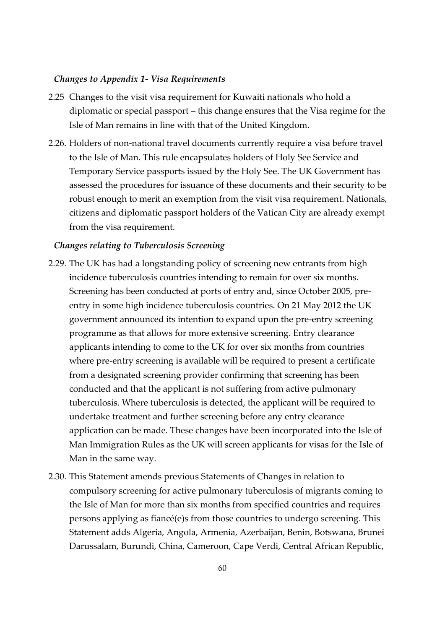#### *Changes to Appendix 1- Visa Requirements*

- 2.25 Changes to the visit visa requirement for Kuwaiti nationals who hold a diplomatic or special passport – this change ensures that the Visa regime for the Isle of Man remains in line with that of the United Kingdom.
- 2.26. Holders of non-national travel documents currently require a visa before travel to the Isle of Man. This rule encapsulates holders of Holy See Service and Temporary Service passports issued by the Holy See. The UK Government has assessed the procedures for issuance of these documents and their security to be robust enough to merit an exemption from the visit visa requirement. Nationals, citizens and diplomatic passport holders of the Vatican City are already exempt from the visa requirement.

#### *Changes relating to Tuberculosis Screening*

- 2.29. The UK has had a longstanding policy of screening new entrants from high incidence tuberculosis countries intending to remain for over six months. Screening has been conducted at ports of entry and, since October 2005, preentry in some high incidence tuberculosis countries. On 21 May 2012 the UK government announced its intention to expand upon the pre-entry screening programme as that allows for more extensive screening. Entry clearance applicants intending to come to the UK for over six months from countries where pre-entry screening is available will be required to present a certificate from a designated screening provider confirming that screening has been conducted and that the applicant is not suffering from active pulmonary tuberculosis. Where tuberculosis is detected, the applicant will be required to undertake treatment and further screening before any entry clearance application can be made. These changes have been incorporated into the Isle of Man Immigration Rules as the UK will screen applicants for visas for the Isle of Man in the same way.
- 2.30. This Statement amends previous Statements of Changes in relation to compulsory screening for active pulmonary tuberculosis of migrants coming to the Isle of Man for more than six months from specified countries and requires persons applying as fiancé(e)s from those countries to undergo screening. This Statement adds Algeria, Angola, Armenia, Azerbaijan, Benin, Botswana, Brunei Darussalam, Burundi, China, Cameroon, Cape Verdi, Central African Republic,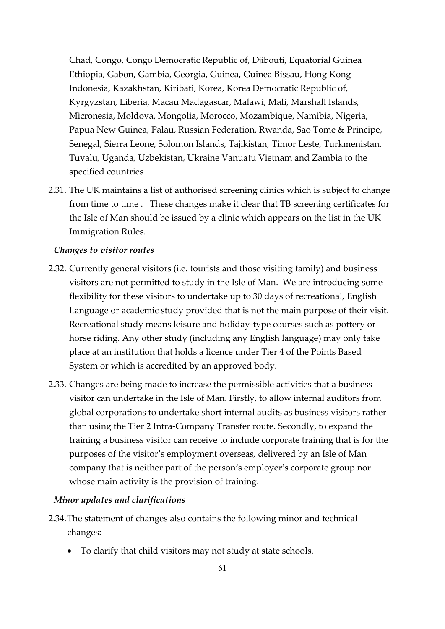Chad, Congo, Congo Democratic Republic of, Djibouti, Equatorial Guinea Ethiopia, Gabon, Gambia, Georgia, Guinea, Guinea Bissau, Hong Kong Indonesia, Kazakhstan, Kiribati, Korea, Korea Democratic Republic of, Kyrgyzstan, Liberia, Macau Madagascar, Malawi, Mali, Marshall Islands, Micronesia, Moldova, Mongolia, Morocco, Mozambique, Namibia, Nigeria, Papua New Guinea, Palau, Russian Federation, Rwanda, Sao Tome & Principe, Senegal, Sierra Leone, Solomon Islands, Tajikistan, Timor Leste, Turkmenistan, Tuvalu, Uganda, Uzbekistan, Ukraine Vanuatu Vietnam and Zambia to the specified countries

2.31. The UK maintains a list of authorised screening clinics which is subject to change from time to time . These changes make it clear that TB screening certificates for the Isle of Man should be issued by a clinic which appears on the list in the UK Immigration Rules.

#### *Changes to visitor routes*

- 2.32. Currently general visitors (i.e. tourists and those visiting family) and business visitors are not permitted to study in the Isle of Man. We are introducing some flexibility for these visitors to undertake up to 30 days of recreational, English Language or academic study provided that is not the main purpose of their visit. Recreational study means leisure and holiday-type courses such as pottery or horse riding. Any other study (including any English language) may only take place at an institution that holds a licence under Tier 4 of the Points Based System or which is accredited by an approved body.
- 2.33. Changes are being made to increase the permissible activities that a business visitor can undertake in the Isle of Man. Firstly, to allow internal auditors from global corporations to undertake short internal audits as business visitors rather than using the Tier 2 Intra-Company Transfer route. Secondly, to expand the training a business visitor can receive to include corporate training that is for the purposes of the visitor's employment overseas, delivered by an Isle of Man company that is neither part of the person's employer's corporate group nor whose main activity is the provision of training.

#### *Minor updates and clarifications*

- 2.34.The statement of changes also contains the following minor and technical changes:
	- To clarify that child visitors may not study at state schools.